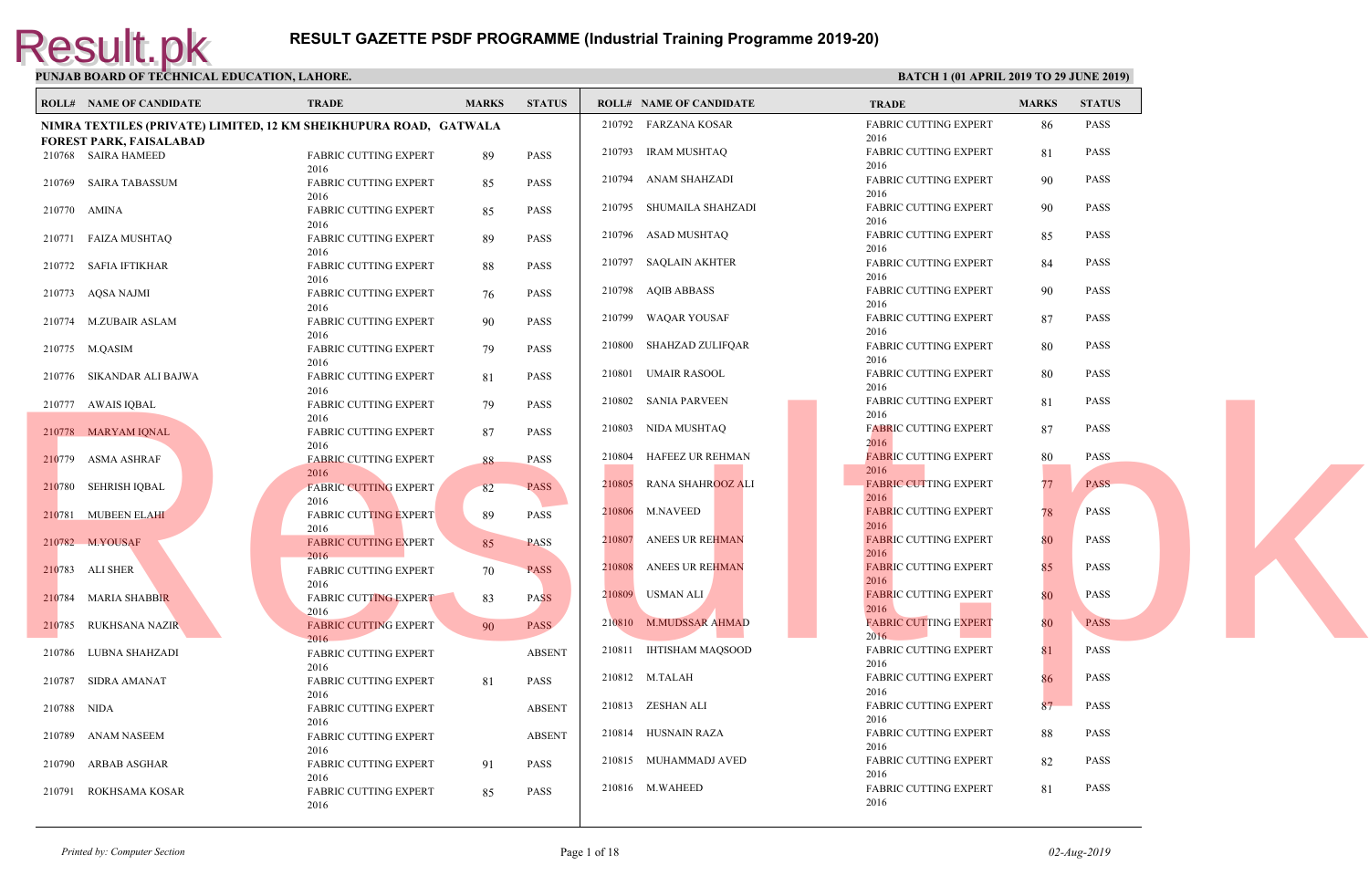|             | <b>ROLL# NAME OF CANDIDATE</b>                                    | <b>TRADE</b>                         | <b>MARKS</b> | <b>STATUS</b> |        | <b>ROLL# NAME OF CANDIDATE</b> | <b>TRAL</b>          |
|-------------|-------------------------------------------------------------------|--------------------------------------|--------------|---------------|--------|--------------------------------|----------------------|
|             | NIMRA TEXTILES (PRIVATE) LIMITED, 12 KM SHEIKHUPURA ROAD, GATWALA |                                      |              |               |        | 210792 FARZANA KOSAR           | FABRI<br>2016        |
|             | <b>FOREST PARK, FAISALABAD</b>                                    |                                      |              |               |        | 210793 IRAM MUSHTAQ            | <b>FABRI</b>         |
|             | 210768 SAIRA HAMEED                                               | <b>FABRIC CUTTING EXPERT</b><br>2016 | 89           | <b>PASS</b>   |        |                                | 2016                 |
|             | 210769 SAIRA TABASSUM                                             | <b>FABRIC CUTTING EXPERT</b>         | 85           | <b>PASS</b>   |        | 210794 ANAM SHAHZADI           | <b>FABRI</b>         |
|             |                                                                   | 2016                                 |              |               |        |                                | 2016                 |
|             | 210770 AMINA                                                      | <b>FABRIC CUTTING EXPERT</b>         | 85           | <b>PASS</b>   | 210795 | SHUMAILA SHAHZADI              | <b>FABRI</b>         |
|             |                                                                   | 2016                                 |              |               |        |                                | 2016                 |
|             | 210771 FAIZA MUSHTAQ                                              | FABRIC CUTTING EXPERT                | 89           | <b>PASS</b>   |        | 210796 ASAD MUSHTAQ            | <b>FABRI</b>         |
|             |                                                                   | 2016                                 |              |               |        |                                | 2016                 |
|             | 210772 SAFIA IFTIKHAR                                             | <b>FABRIC CUTTING EXPERT</b>         | 88           | <b>PASS</b>   |        | 210797 SAQLAIN AKHTER          | FABRI                |
|             |                                                                   | 2016                                 |              |               |        |                                | 2016                 |
|             | 210773 AQSA NAJMI                                                 | FABRIC CUTTING EXPERT                | 76           | <b>PASS</b>   |        | 210798 AQIB ABBASS             | FABRI                |
|             |                                                                   | 2016                                 |              |               | 210799 |                                | 2016<br><b>FABRI</b> |
|             | 210774 M.ZUBAIR ASLAM                                             | <b>FABRIC CUTTING EXPERT</b>         | 90           | <b>PASS</b>   |        | WAQAR YOUSAF                   | 2016                 |
|             |                                                                   | 2016                                 |              |               |        | 210800 SHAHZAD ZULIFQAR        | <b>FABRI</b>         |
|             | 210775 M.QASIM                                                    | FABRIC CUTTING EXPERT                | 79           | PASS          |        |                                | 2016                 |
|             | 210776 SIKANDAR ALI BAJWA                                         | 2016<br><b>FABRIC CUTTING EXPERT</b> | 81           | <b>PASS</b>   |        | 210801 UMAIR RASOOL            | <b>FABRI</b>         |
|             |                                                                   | 2016                                 |              |               |        |                                | 2016                 |
|             | 210777 AWAIS IQBAL                                                | <b>FABRIC CUTTING EXPERT</b>         | 79           | PASS          |        | 210802 SANIA PARVEEN           | <b>FABRI</b>         |
|             |                                                                   | 2016                                 |              |               |        |                                | 2016                 |
|             | 210778 MARYAM IQNAL                                               | FABRIC CUTTING EXPERT                | 87           | <b>PASS</b>   |        | 210803 NIDA MUSHTAQ            | <b>FABRI</b>         |
|             |                                                                   | 2016                                 |              |               |        |                                | 2016                 |
|             | 210779 ASMA ASHRAF                                                | <b>FABRIC CUTTING EXPERT</b>         | 88           | <b>PASS</b>   | 210804 | HAFEEZ UR REHMAN               | <b>FABRI</b>         |
|             |                                                                   | 2016                                 |              |               | 210805 | RANA SHAHROOZ ALI              | 2016                 |
|             | 210780 SEHRISH IQBAL                                              | <b>FABRIC CUTTING EXPERT</b>         | 82           | <b>PASS</b>   |        |                                | <b>FABRI</b><br>2016 |
|             |                                                                   | 2016                                 |              |               | 210806 | <b>M.NAVEED</b>                | <b>FABRI</b>         |
|             | 210781 MUBEEN ELAHI                                               | <b>FABRIC CUTTING EXPERT</b><br>2016 | 89           | <b>PASS</b>   |        |                                | 2016                 |
|             | 210782 M.YOUSAF                                                   | <b>FABRIC CUTTING EXPERT</b>         | 85           | <b>PASS</b>   | 210807 | ANEES UR REHMAN                | <b>FABRI</b>         |
|             |                                                                   | 2016                                 |              |               |        |                                | 2016                 |
|             | 210783 ALI SHER                                                   | FABRIC CUTTING EXPERT                | 70           | <b>PASS</b>   | 210808 | <b>ANEES UR REHMAN</b>         | <b>FABRI</b>         |
|             |                                                                   | 2016                                 |              |               |        |                                | 2016                 |
|             | 210784 MARIA SHABBIR                                              | <b>FABRIC CUTTING EXPERT</b>         | 83           | <b>PASS</b>   |        | 210809 USMAN ALI               | <b>FABRI</b>         |
|             |                                                                   | 2016                                 |              |               |        |                                | 2016                 |
| 210785      | RUKHSANA NAZIR                                                    | <b>FABRIC CUTTING EXPERT</b>         | 90           | <b>PASS</b>   |        | 210810 M.MUDSSAR AHMAD         | FABRI                |
|             |                                                                   | 2016                                 |              |               |        |                                | 2016                 |
| 210786      | LUBNA SHAHZADI                                                    | <b>FABRIC CUTTING EXPERT</b>         |              | <b>ABSENT</b> |        | 210811 IHTISHAM MAQSOOD        | <b>FABRI</b><br>2016 |
|             |                                                                   | 2016                                 |              |               |        | 210812 M.TALAH                 | FABRI                |
|             | 210787 SIDRA AMANAT                                               | FABRIC CUTTING EXPERT                | 81           | <b>PASS</b>   |        |                                | 2016                 |
| 210788 NIDA |                                                                   | 2016                                 |              | <b>ABSENT</b> |        | 210813 ZESHAN ALI              | <b>FABRI</b>         |
|             |                                                                   | <b>FABRIC CUTTING EXPERT</b><br>2016 |              |               |        |                                | 2016                 |
|             | 210789 ANAM NASEEM                                                | FABRIC CUTTING EXPERT                |              | <b>ABSENT</b> |        | 210814 HUSNAIN RAZA            | <b>FABRI</b>         |
|             |                                                                   | 2016                                 |              |               |        |                                | 2016                 |
| 210790      | ARBAB ASGHAR                                                      | <b>FABRIC CUTTING EXPERT</b>         | 91           | <b>PASS</b>   |        | 210815 MUHAMMADJ AVED          | FABRI                |
|             |                                                                   | 2016                                 |              |               |        |                                | 2016                 |
|             | 210791 ROKHSAMA KOSAR                                             | <b>FABRIC CUTTING EXPERT</b>         | 85           | <b>PASS</b>   |        | 210816 M.WAHEED                | <b>FABRI</b>         |
|             |                                                                   | 2016                                 |              |               |        |                                | 2016                 |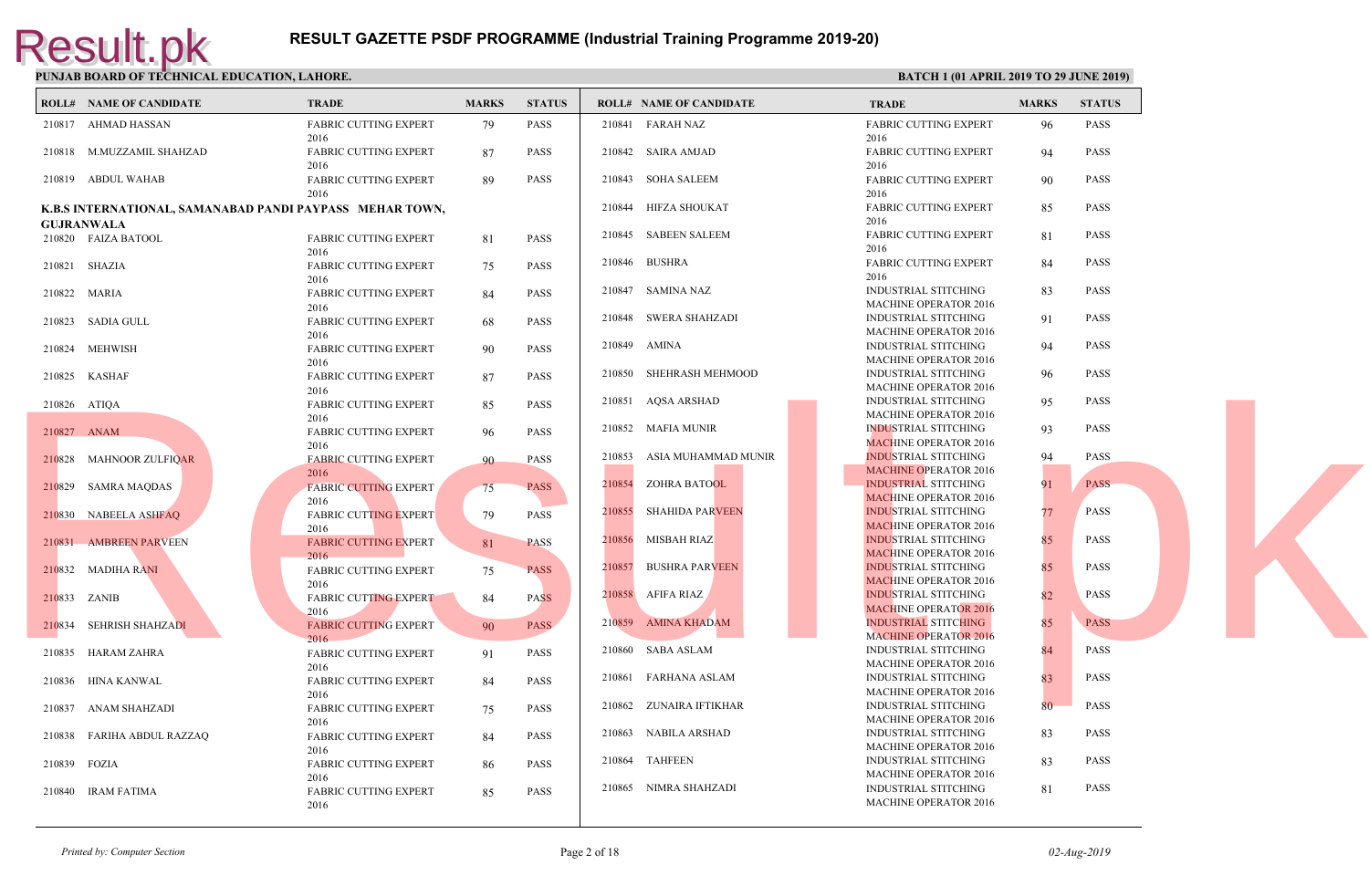|              | <b>ROLL# NAME OF CANDIDATE</b> | TRADE                                                    | <b>MARKS</b> | <b>STATUS</b> |        | <b>ROLL# NAME OF CANDIDATE</b> | <b>TRAD</b>                 |
|--------------|--------------------------------|----------------------------------------------------------|--------------|---------------|--------|--------------------------------|-----------------------------|
|              | 210817 AHMAD HASSAN            | FABRIC CUTTING EXPERT<br>2016                            | 79           | PASS          |        | 210841 FARAH NAZ               | FABRI<br>2016               |
|              | 210818 M.MUZZAMIL SHAHZAD      | FABRIC CUTTING EXPERT<br>2016                            | 87           | <b>PASS</b>   |        | 210842 SAIRA AMJAD             | FABRI<br>2016               |
|              | 210819 ABDUL WAHAB             | FABRIC CUTTING EXPERT<br>2016                            | 89           | <b>PASS</b>   |        | 210843 SOHA SALEEM             | FABRI<br>2016               |
|              |                                | K.B.S INTERNATIONAL, SAMANABAD PANDI PAYPASS MEHAR TOWN, |              |               |        | 210844 HIFZA SHOUKAT           | <b>FABRI</b>                |
|              | <b>GUJRANWALA</b>              |                                                          |              |               |        |                                | 2016                        |
|              | 210820 FAIZA BATOOL            | FABRIC CUTTING EXPERT<br>2016                            | 81           | PASS          |        | 210845 SABEEN SALEEM           | <b>FABRI</b><br>2016        |
|              | 210821 SHAZIA                  | FABRIC CUTTING EXPERT<br>2016                            | 75           | PASS          |        | 210846 BUSHRA                  | <b>FABRI</b><br>2016        |
|              | 210822 MARIA                   | FABRIC CUTTING EXPERT<br>2016                            | 84           | <b>PASS</b>   |        | 210847 SAMINA NAZ              | <b>INDUS</b><br><b>MACH</b> |
|              | 210823 SADIA GULL              | <b>FABRIC CUTTING EXPERT</b><br>2016                     | 68           | PASS          |        | 210848 SWERA SHAHZADI          | <b>INDUS</b><br><b>MACH</b> |
|              | 210824 MEHWISH                 | <b>FABRIC CUTTING EXPERT</b><br>2016                     | 90           | PASS          |        | 210849 AMINA                   | <b>INDUS</b><br><b>MACH</b> |
|              | 210825 KASHAF                  | FABRIC CUTTING EXPERT<br>2016                            | 87           | <b>PASS</b>   |        | 210850 SHEHRASH MEHMOOD        | <b>INDUS</b><br><b>MACH</b> |
|              | 210826 ATIQA                   | <b>FABRIC CUTTING EXPERT</b>                             | 85           | PASS          |        | 210851 AQSA ARSHAD             | <b>INDUS</b><br><b>MACH</b> |
| 210827 ANAM  |                                | 2016<br><b>FABRIC CUTTING EXPERT</b>                     | 96           | <b>PASS</b>   |        | 210852 MAFIA MUNIR             | <b>INDUS</b><br><b>MACH</b> |
|              | 210828 MAHNOOR ZULFIQAR        | 2016<br><b>FABRIC CUTTING EXPERT</b>                     | 90           | PASS          | 210853 | ASIA MUHAMMAD MUNIR            | <b>INDUS</b><br><b>MACH</b> |
|              | 210829 SAMRA MAQDAS            | 2016<br><b>FABRIC CUTTING EXPERT</b>                     | 75           | <b>PASS</b>   |        | 210854 ZOHRA BATOOL            | <b>INDUS</b><br><b>MACF</b> |
|              | 210830 NABEELA ASHFAQ          | 2016<br><b>FABRIC CUTTING EXPERT</b>                     | 79           | <b>PASS</b>   | 210855 | SHAHIDA PARVEEN                | <b>INDUS</b><br><b>MACF</b> |
|              | 210831 AMBREEN PARVEEN         | 2016<br><b>FABRIC CUTTING EXPERT</b>                     | 81           | <b>PASS</b>   |        | 210856 MISBAH RIAZ             | <b>INDUS</b><br><b>MACE</b> |
|              | 210832 MADIHA RANI             | 2016<br><b>FABRIC CUTTING EXPERT</b>                     | 75           | <b>PASS</b>   |        | 210857 BUSHRA PARVEEN          | <b>INDUS</b><br><b>MACF</b> |
| 210833 ZANIB |                                | 2016<br><b>FABRIC CUTTING EXPERT</b><br>2016             | 84           | <b>PASS</b>   |        | 210858 AFIFA RIAZ              | <b>INDUS</b><br><b>MACH</b> |
|              | 210834 SEHRISH SHAHZADI        | <b>FABRIC CUTTING EXPERT</b><br>2016                     | 90           | <b>PASS</b>   |        | 210859 AMINA KHADAM            | <b>INDUS</b><br><b>MACH</b> |
|              | 210835 HARAM ZAHRA             | <b>FABRIC CUTTING EXPERT</b><br>2016                     | 91           | PASS          |        | 210860 SABA ASLAM              | <b>INDUS</b><br><b>MACH</b> |
|              | 210836 HINA KANWAL             | FABRIC CUTTING EXPERT<br>2016                            | 84           | PASS          |        | 210861 FARHANA ASLAM           | <b>INDUS</b><br><b>MACH</b> |
|              | 210837 ANAM SHAHZADI           | <b>FABRIC CUTTING EXPERT</b><br>2016                     | 75           | PASS          | 210862 | ZUNAIRA IFTIKHAR               | <b>INDUS</b><br><b>MACH</b> |
|              | 210838 FARIHA ABDUL RAZZAQ     | <b>FABRIC CUTTING EXPERT</b><br>2016                     | -84          | <b>PASS</b>   |        | 210863 NABILA ARSHAD           | <b>INDUS</b><br><b>MACH</b> |
| 210839 FOZIA |                                | <b>FABRIC CUTTING EXPERT</b>                             | 86           | <b>PASS</b>   |        | 210864 TAHFEEN                 | <b>INDUS</b><br><b>MACH</b> |
|              | 210840 IRAM FATIMA             | 2016<br><b>FABRIC CUTTING EXPERT</b><br>2016             | 85           | <b>PASS</b>   |        | 210865 NIMRA SHAHZADI          | <b>INDUS</b><br><b>MACH</b> |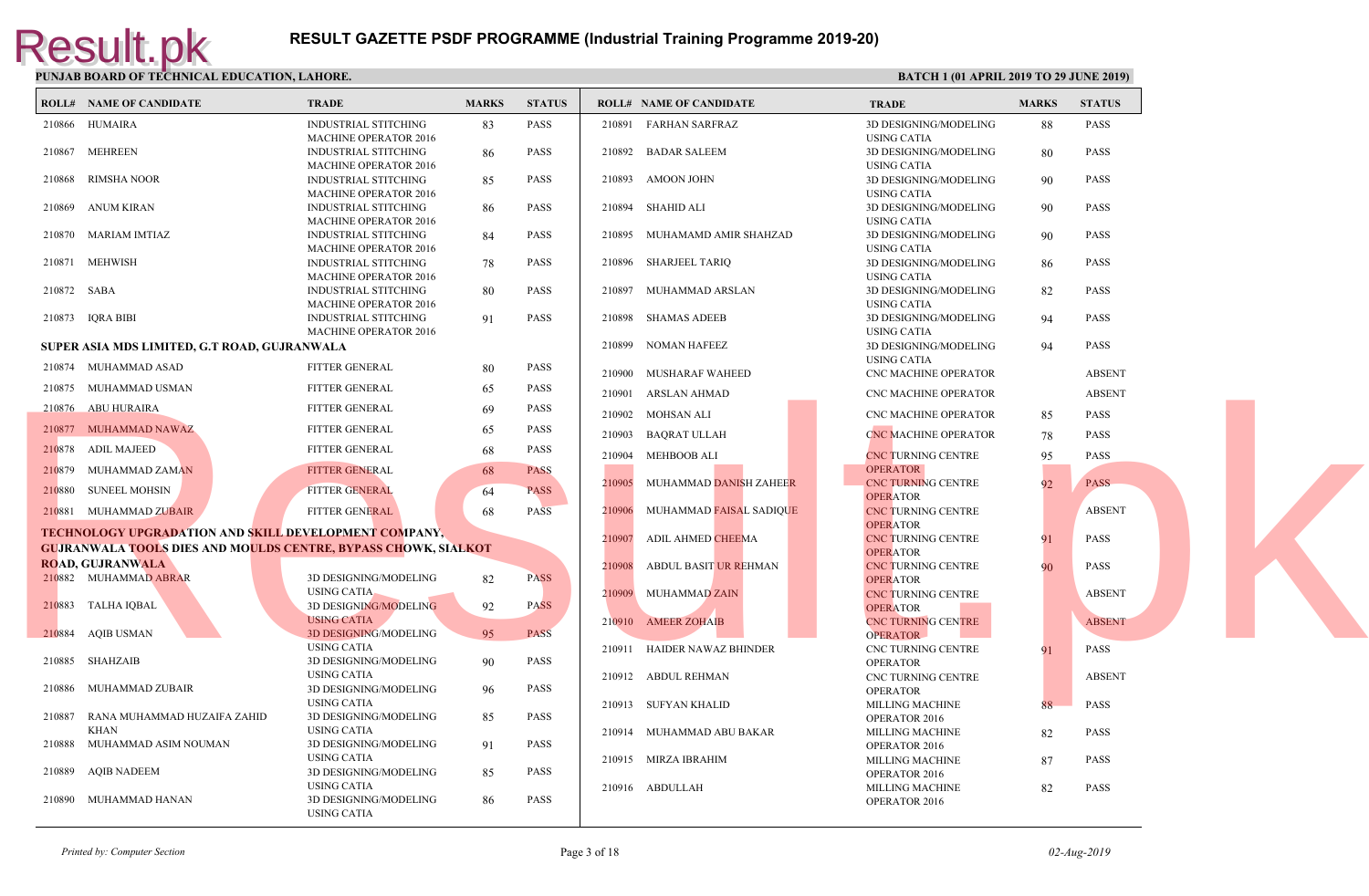|             | <b>ROLL# NAME OF CANDIDATE</b>                                        | <b>TRADE</b>                                         | <b>MARKS</b> | <b>STATUS</b> |        | <b>ROLL# NAME OF CANDIDATE</b> | <b>TRAL</b>                     |
|-------------|-----------------------------------------------------------------------|------------------------------------------------------|--------------|---------------|--------|--------------------------------|---------------------------------|
|             | 210866 HUMAIRA                                                        | <b>INDUSTRIAL STITCHING</b>                          | 83           | PASS          |        | 210891 FARHAN SARFRAZ          | 3D DE                           |
|             |                                                                       | MACHINE OPERATOR 2016                                |              |               |        |                                | <b>USING</b>                    |
|             | 210867 MEHREEN                                                        | INDUSTRIAL STITCHING                                 | 86           | <b>PASS</b>   |        | 210892 BADAR SALEEM            | 3D DE                           |
|             |                                                                       | MACHINE OPERATOR 2016                                |              |               |        |                                | <b>USING</b>                    |
| 210868      | RIMSHA NOOR                                                           | INDUSTRIAL STITCHING                                 | 85           | <b>PASS</b>   | 210893 | AMOON JOHN                     | 3D DE                           |
|             |                                                                       | <b>MACHINE OPERATOR 2016</b>                         |              |               |        |                                | <b>USING</b>                    |
| 210869      | ANUM KIRAN                                                            | <b>INDUSTRIAL STITCHING</b>                          | 86           | <b>PASS</b>   |        | 210894 SHAHID ALI              | 3D DE                           |
|             |                                                                       | <b>MACHINE OPERATOR 2016</b>                         |              |               |        |                                | <b>USINC</b>                    |
|             | 210870 MARIAM IMTIAZ                                                  | <b>INDUSTRIAL STITCHING</b><br>MACHINE OPERATOR 2016 | 84           | <b>PASS</b>   | 210895 | MUHAMAMD AMIR SHAHZAD          | 3D DE<br><b>USING</b>           |
|             | 210871 MEHWISH                                                        | <b>INDUSTRIAL STITCHING</b>                          |              | PASS          |        | 210896 SHARJEEL TARIQ          | 3D DE                           |
|             |                                                                       | <b>MACHINE OPERATOR 2016</b>                         | 78           |               |        |                                | <b>USING</b>                    |
| 210872 SABA |                                                                       | INDUSTRIAL STITCHING                                 | 80           | <b>PASS</b>   |        | 210897 MUHAMMAD ARSLAN         | 3D DE                           |
|             |                                                                       | <b>MACHINE OPERATOR 2016</b>                         |              |               |        |                                | <b>USING</b>                    |
|             | 210873 IQRA BIBI                                                      | <b>INDUSTRIAL STITCHING</b>                          | 91           | <b>PASS</b>   | 210898 | SHAMAS ADEEB                   | 3D DE                           |
|             |                                                                       | <b>MACHINE OPERATOR 2016</b>                         |              |               |        |                                | <b>USING</b>                    |
|             | SUPER ASIA MDS LIMITED, G.T ROAD, GUJRANWALA                          |                                                      |              |               | 210899 | NOMAN HAFEEZ                   | 3D DE                           |
|             |                                                                       |                                                      |              |               |        |                                | <b>USINC</b>                    |
|             | 210874 MUHAMMAD ASAD                                                  | <b>FITTER GENERAL</b>                                | 80           | <b>PASS</b>   | 210900 | MUSHARAF WAHEED                | CNC <sub>N</sub>                |
|             | 210875 MUHAMMAD USMAN                                                 | <b>FITTER GENERAL</b>                                | 65           | <b>PASS</b>   | 210901 | ARSLAN AHMAD                   | CNC <sub>N</sub>                |
|             | 210876 ABU HURAIRA                                                    | FITTER GENERAL                                       | 69           | <b>PASS</b>   |        |                                |                                 |
|             |                                                                       |                                                      |              |               | 210902 | MOHSAN ALI                     | CNC <sub>N</sub>                |
|             | 210877 MUHAMMAD NAWAZ                                                 | <b>FITTER GENERAL</b>                                | 65           | <b>PASS</b>   | 210903 | BAQRAT ULLAH                   | <b>CNC M</b>                    |
|             | 210878 ADIL MAJEED                                                    | FITTER GENERAL                                       | 68           | <b>PASS</b>   |        | 210904 MEHBOOB ALI             | <b>CNCT</b>                     |
|             | 210879 MUHAMMAD ZAMAN                                                 | <b>FITTER GENERAL</b>                                | 68           | <b>PASS</b>   |        |                                | <b>OPER</b>                     |
|             | 210880 SUNEEL MOHSIN                                                  | <b>FITTER GENERAL</b>                                | 64           | <b>PASS</b>   | 210905 | MUHAMMAD DANISH ZAHEER         | CNC <sub>1</sub><br><b>OPER</b> |
|             | 210881 MUHAMMAD ZUBAIR                                                | <b>FITTER GENERAL</b>                                | 68           | <b>PASS</b>   | 210906 | MUHAMMAD FAISAL SADIQUE        | <b>CNCT</b>                     |
|             |                                                                       |                                                      |              |               |        |                                | OPER <sub>4</sub>               |
|             | <b>TECHNOLOGY UPGRADATION AND SKILL DEVELOPMENT COMPANY,</b>          |                                                      |              |               | 210907 | ADIL AHMED CHEEMA              | CNC <sub>1</sub>                |
|             | <b>GUJRANWALA TOOLS DIES AND MOULDS CENTRE, BYPASS CHOWK, SIALKOT</b> |                                                      |              |               |        |                                | <b>OPER</b>                     |
|             | <b>ROAD, GUJRANWALA</b>                                               |                                                      |              |               | 210908 | ABDUL BASIT UR REHMAN          | CNC <sub>1</sub>                |
|             | 210882 MUHAMMAD ABRAR                                                 | 3D DESIGNING/MODELING                                | 82           | <b>PASS</b>   |        |                                | <b>OPER</b>                     |
|             |                                                                       | <b>USING CATIA</b>                                   |              |               |        | 210909 MUHAMMAD ZAIN           | <b>CNCT</b>                     |
|             | 210883 TALHA IQBAL                                                    | 3D DESIGNING/MODELING                                | 92           | <b>PASS</b>   |        |                                | <b>OPER</b>                     |
|             |                                                                       | <b>USING CATIA</b>                                   |              |               |        | 210910 AMEER ZOHAIB            | CNC <sub>1</sub>                |
| 210884      | <b>AQIB USMAN</b>                                                     | 3D DESIGNING/MODELING                                | 95           | <b>PASS</b>   |        |                                | <b>OPER</b>                     |
|             |                                                                       | <b>USING CATIA</b>                                   |              |               |        | 210911 HAIDER NAWAZ BHINDER    | CNC <sub>T</sub>                |
|             | 210885 SHAHZAIB                                                       | 3D DESIGNING/MODELING                                | 90           | <b>PASS</b>   |        |                                | OPER/                           |
|             |                                                                       | USING CATIA                                          |              |               |        | 210912 ABDUL REHMAN            | CNC <sub>T</sub>                |
| 210886      | MUHAMMAD ZUBAIR                                                       | 3D DESIGNING/MODELING                                | 96           | PASS          |        |                                | OPER/                           |
| 210887      |                                                                       | <b>USING CATIA</b>                                   |              |               |        | 210913 SUFYAN KHALID           | <b>MILLI</b>                    |
|             | RANA MUHAMMAD HUZAIFA ZAHID<br><b>KHAN</b>                            | 3D DESIGNING/MODELING<br><b>USING CATIA</b>          | 85           | PASS          |        |                                | OPERA                           |
| 210888      | MUHAMMAD ASIM NOUMAN                                                  | 3D DESIGNING/MODELING                                |              | <b>PASS</b>   |        | 210914 MUHAMMAD ABU BAKAR      | <b>MILLI</b>                    |
|             |                                                                       | <b>USING CATIA</b>                                   | -91          |               |        |                                | OPER/                           |
| 210889      | <b>AQIB NADEEM</b>                                                    | 3D DESIGNING/MODELING                                | 85           | <b>PASS</b>   |        | 210915 MIRZA IBRAHIM           | <b>MILLI</b>                    |
|             |                                                                       | <b>USING CATIA</b>                                   |              |               |        | 210916 ABDULLAH                | OPER/                           |
|             | 210890 MUHAMMAD HANAN                                                 | 3D DESIGNING/MODELING                                | 86           | <b>PASS</b>   |        |                                | <b>MILLI</b><br>OPERA           |
|             |                                                                       | <b>USING CATIA</b>                                   |              |               |        |                                |                                 |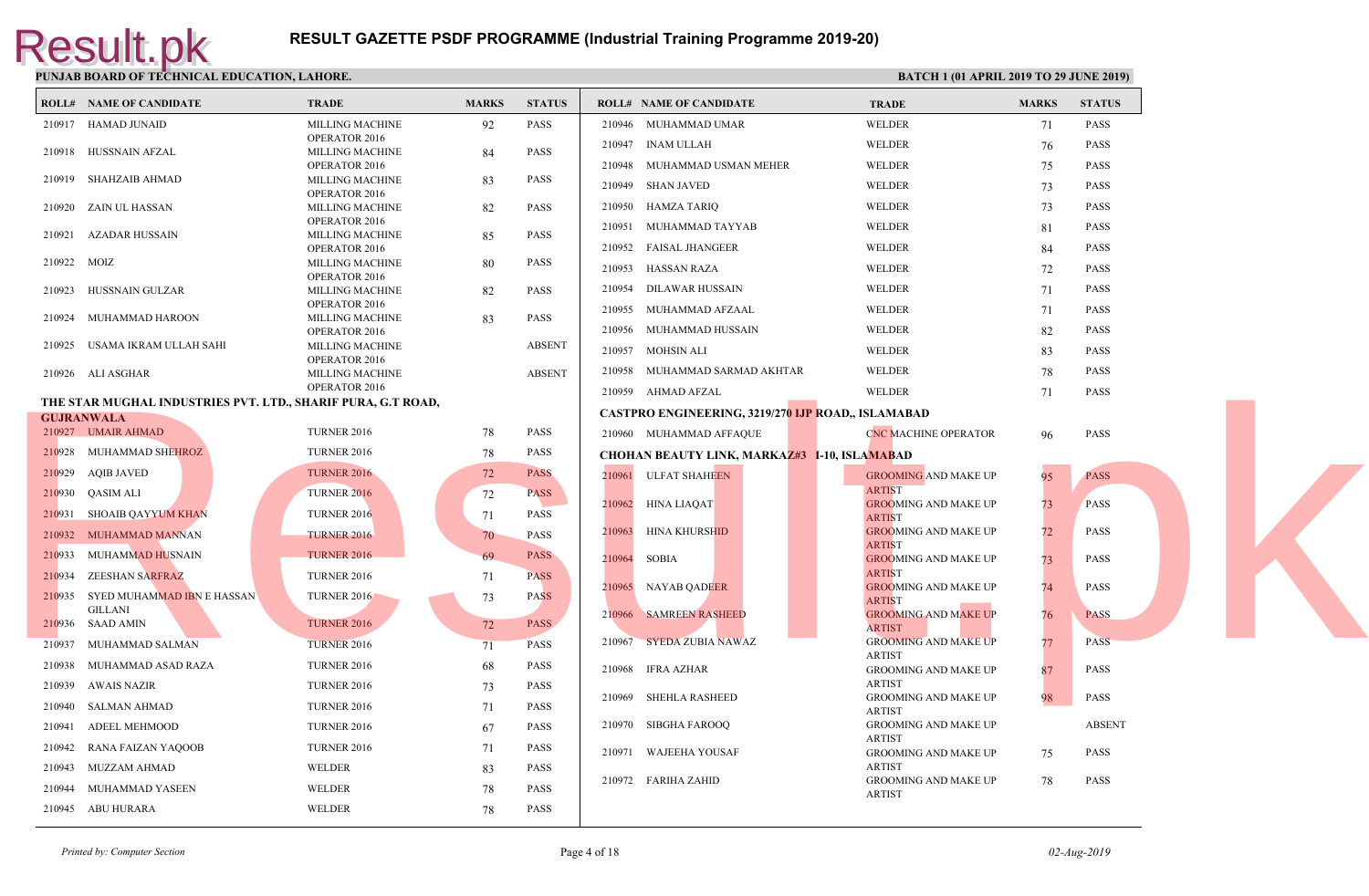|             | <b>ROLL# NAME OF CANDIDATE</b>                                      | <b>TRADE</b>                            | <b>MARKS</b> | <b>STATUS</b> | <b>ROLL# NAME OF CANDIDATE</b>                        | <b>TRAL</b>                 |
|-------------|---------------------------------------------------------------------|-----------------------------------------|--------------|---------------|-------------------------------------------------------|-----------------------------|
|             | 210917 HAMAD JUNAID                                                 | MILLING MACHINE                         | 92           | PASS          | 210946 MUHAMMAD UMAR                                  | <b>WELD</b>                 |
|             |                                                                     | OPERATOR 2016                           |              |               | 210947<br>INAM ULLAH                                  | WELD                        |
|             | 210918 HUSSNAIN AFZAL                                               | <b>MILLING MACHINE</b>                  | 84           | <b>PASS</b>   |                                                       |                             |
| 210919      | SHAHZAIB AHMAD                                                      | OPERATOR 2016<br><b>MILLING MACHINE</b> | 83           | <b>PASS</b>   | 210948<br>MUHAMMAD USMAN MEHER                        | <b>WELD</b>                 |
|             |                                                                     | OPERATOR 2016                           |              |               | 210949 SHAN JAVED                                     | WELD                        |
| 210920      | ZAIN UL HASSAN                                                      | MILLING MACHINE                         | 82           | <b>PASS</b>   | 210950<br>HAMZA TARIQ                                 | <b>WELD</b>                 |
|             |                                                                     | OPERATOR 2016                           |              |               | 210951<br>MUHAMMAD TAYYAB                             | <b>WELD</b>                 |
|             | 210921 AZADAR HUSSAIN                                               | MILLING MACHINE<br>OPERATOR 2016        | 85           | <b>PASS</b>   | 210952 FAISAL JHANGEER                                | WELD                        |
| 210922 MOIZ |                                                                     | <b>MILLING MACHINE</b>                  | 80           | <b>PASS</b>   | 210953<br>HASSAN RAZA                                 | WELD                        |
|             |                                                                     | OPERATOR 2016                           |              |               |                                                       |                             |
| 210923      | HUSSNAIN GULZAR                                                     | <b>MILLING MACHINE</b>                  | 82           | <b>PASS</b>   | 210954<br>DILAWAR HUSSAIN                             | <b>WELD</b>                 |
| 210924      | MUHAMMAD HAROON                                                     | OPERATOR 2016<br><b>MILLING MACHINE</b> | 83           | <b>PASS</b>   | 210955<br>MUHAMMAD AFZAAL                             | <b>WELD</b>                 |
|             |                                                                     | OPERATOR 2016                           |              |               | 210956<br>MUHAMMAD HUSSAIN                            | WELD                        |
| 210925      | USAMA IKRAM ULLAH SAHI                                              | <b>MILLING MACHINE</b>                  |              | <b>ABSENT</b> | MOHSIN ALI<br>210957                                  | <b>WELD</b>                 |
|             | 210926 ALI ASGHAR                                                   | OPERATOR 2016<br>MILLING MACHINE        |              | <b>ABSENT</b> | 210958<br>MUHAMMAD SARMAD AKHTAR                      | <b>WELD</b>                 |
|             |                                                                     | OPERATOR 2016                           |              |               |                                                       |                             |
|             | <b>THE STAR MUGHAL INDUSTRIES PVT. LTD., SHARIF PURA, G.T ROAD,</b> |                                         |              |               | 210959 AHMAD AFZAL                                    | WELD                        |
|             | <b>GUJRANWALA</b>                                                   |                                         |              |               | <b>CASTPRO ENGINEERING, 3219/270 IJP ROAD., ISLAM</b> |                             |
|             | 210927 UMAIR AHMAD                                                  | <b>TURNER 2016</b>                      | 78           | PASS          | 210960 MUHAMMAD AFFAQUE                               | <b>CNC M</b>                |
|             | 210928 MUHAMMAD SHEHROZ                                             | <b>TURNER 2016</b>                      | 78           | PASS          | <b>CHOHAN BEAUTY LINK, MARKAZ#3 I-10, ISLAMAB</b>     |                             |
|             | 210929 AQIB JAVED                                                   | <b>TURNER 2016</b>                      | 72           | <b>PASS</b>   | 210961 ULFAT SHAHEEN                                  | <b>GROO</b>                 |
|             | 210930 QASIM ALI                                                    | <b>TURNER 2016</b>                      | 72           | <b>PASS</b>   |                                                       | <b>ARTIS</b>                |
|             | 210931 SHOAIB QAYYUM KHAN                                           | <b>TURNER 2016</b>                      | 71           | <b>PASS</b>   | 210962 HINA LIAQAT                                    | <b>GROO</b><br><b>ARTIS</b> |
|             | 210932 MUHAMMAD MANNAN                                              | <b>TURNER 2016</b>                      | 70           | PASS          | 210963<br>HINA KHURSHID                               | <b>GROO</b>                 |
|             | 210933 MUHAMMAD HUSNAIN                                             | <b>TURNER 2016</b>                      | 69           | <b>PASS</b>   | 210964<br>SOBIA                                       | <b>ARTIS</b><br><b>GROO</b> |
|             | 210934 ZEESHAN SARFRAZ                                              | <b>TURNER 2016</b>                      | 71           | <b>PASS</b>   |                                                       | <b>ARTIS</b>                |
|             |                                                                     |                                         |              |               | 210965 NAYAB QADEER                                   | <b>GROO</b>                 |
|             | 210935 SYED MUHAMMAD IBN E HASSAN<br><b>GILLANI</b>                 | <b>TURNER 2016</b>                      | 73           | <b>PASS</b>   |                                                       | <b>ARTIS</b>                |
|             | 210936 SAAD AMIN                                                    | <b>TURNER 2016</b>                      | 72           | <b>PASS</b>   | 210966 SAMREEN RASHEED                                | <b>GROO</b><br><b>ARTIS</b> |
|             | 210937 MUHAMMAD SALMAN                                              | <b>TURNER 2016</b>                      | 71           | <b>PASS</b>   | 210967<br><b>SYEDA ZUBIA NAWAZ</b>                    | GROO                        |
| 210938      | MUHAMMAD ASAD RAZA                                                  | <b>TURNER 2016</b>                      | 68           | <b>PASS</b>   | 210968<br>IFRA AZHAR                                  | <b>ARTIS</b><br>GROO        |
| 210939      | AWAIS NAZIR                                                         | <b>TURNER 2016</b>                      | 73           | <b>PASS</b>   |                                                       | <b>ARTIS</b>                |
| 210940      | SALMAN AHMAD                                                        | <b>TURNER 2016</b>                      | 71           | <b>PASS</b>   | 210969<br>SHEHLA RASHEED                              | GROO                        |
| 210941      | ADEEL MEHMOOD                                                       | <b>TURNER 2016</b>                      | 67           | <b>PASS</b>   | 210970 SIBGHA FAROOQ                                  | <b>ARTIS</b><br><b>GROO</b> |
| 210942      | RANA FAIZAN YAQOOB                                                  | <b>TURNER 2016</b>                      | 71           | <b>PASS</b>   |                                                       | <b>ARTIS</b>                |
|             |                                                                     |                                         |              |               | WAJEEHA YOUSAF<br>210971                              | GROO<br><b>ARTIS</b>        |
| 210943      | MUZZAM AHMAD                                                        | WELDER                                  | 83           | <b>PASS</b>   | 210972 FARIHA ZAHID                                   | <b>GROO</b>                 |
|             | 210944 MUHAMMAD YASEEN                                              | WELDER                                  | 78           | <b>PASS</b>   |                                                       | <b>ARTIS</b>                |
|             | 210945 ABU HURARA                                                   | WELDER                                  | 78           | <b>PASS</b>   |                                                       |                             |
|             |                                                                     |                                         |              |               |                                                       |                             |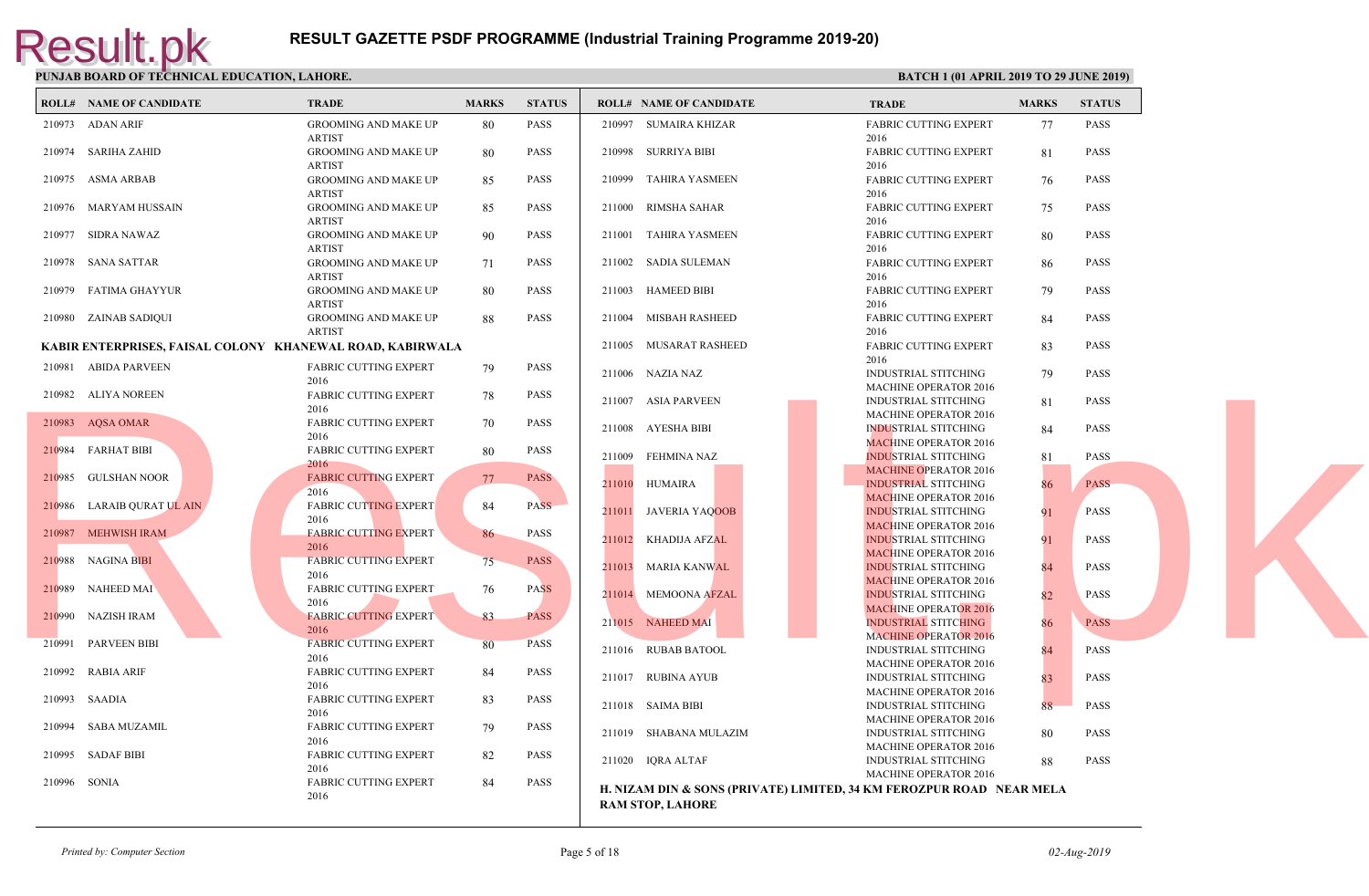|              | <b>ROLL# NAME OF CANDIDATE</b> | <b>TRADE</b>                                              | <b>MARKS</b> | <b>STATUS</b> |        | <b>ROLL# NAME OF CANDIDATE</b>                  | <b>TRAL</b>                 |
|--------------|--------------------------------|-----------------------------------------------------------|--------------|---------------|--------|-------------------------------------------------|-----------------------------|
|              | 210973 ADAN ARIF               | <b>GROOMING AND MAKE UP</b>                               | 80           | PASS          |        | 210997 SUMAIRA KHIZAR                           | FABRI                       |
|              |                                | ARTIST                                                    |              |               |        |                                                 | 2016                        |
|              | 210974 SARIHA ZAHID            | <b>GROOMING AND MAKE UP</b><br><b>ARTIST</b>              | -80          | <b>PASS</b>   |        | 210998 SURRIYA BIBI                             | FABRI<br>2016               |
|              | 210975 ASMA ARBAB              | <b>GROOMING AND MAKE UP</b>                               | 85           | <b>PASS</b>   | 210999 | TAHIRA YASMEEN                                  | FABRI                       |
|              |                                | <b>ARTIST</b>                                             |              |               |        |                                                 | 2016                        |
|              | 210976 MARYAM HUSSAIN          | <b>GROOMING AND MAKE UP</b>                               | 85           | PASS          |        | 211000 RIMSHA SAHAR                             | <b>FABRI</b>                |
|              |                                | <b>ARTIST</b>                                             |              |               |        |                                                 | 2016                        |
|              | 210977 SIDRA NAWAZ             | <b>GROOMING AND MAKE UP</b>                               | 90           | <b>PASS</b>   |        | 211001 TAHIRA YASMEEN                           | <b>FABRI</b>                |
|              |                                | <b>ARTIST</b>                                             |              |               |        |                                                 | 2016                        |
|              | 210978 SANA SATTAR             | <b>GROOMING AND MAKE UP</b>                               | 71           | PASS          |        | 211002 SADIA SULEMAN                            | <b>FABRI</b>                |
|              |                                | <b>ARTIST</b>                                             |              | <b>PASS</b>   |        |                                                 | 2016<br><b>FABRI</b>        |
|              | 210979 FATIMA GHAYYUR          | <b>GROOMING AND MAKE UP</b><br><b>ARTIST</b>              | 80           |               |        | 211003 HAMEED BIBI                              | 2016                        |
|              | 210980 ZAINAB SADIQUI          | GROOMING AND MAKE UP                                      | 88           | <b>PASS</b>   |        | 211004 MISBAH RASHEED                           | <b>FABRI</b>                |
|              |                                | <b>ARTIST</b>                                             |              |               |        |                                                 | 2016                        |
|              |                                | KABIR ENTERPRISES, FAISAL COLONY KHANEWAL ROAD, KABIRWALA |              |               |        | 211005 MUSARAT RASHEED                          | <b>FABRI</b>                |
|              |                                |                                                           |              |               |        |                                                 | 2016                        |
|              | 210981 ABIDA PARVEEN           | <b>FABRIC CUTTING EXPERT</b><br>2016                      | 79           | PASS          |        | 211006 NAZIA NAZ                                | <b>INDUS</b>                |
|              | 210982 ALIYA NOREEN            | <b>FABRIC CUTTING EXPERT</b>                              | 78           | PASS          |        |                                                 | <b>MACH</b>                 |
|              |                                | 2016                                                      |              |               |        | 211007 ASIA PARVEEN                             | <b>INDUS</b>                |
|              | 210983 AQSA OMAR               | FABRIC CUTTING EXPERT                                     | 70           | PASS          |        |                                                 | <b>MACH</b>                 |
|              |                                | 2016                                                      |              |               |        | 211008 AYESHA BIBI                              | <b>INDUS</b><br><b>MACH</b> |
|              | 210984 FARHAT BIBI             | FABRIC CUTTING EXPERT                                     | 80           | <b>PASS</b>   |        | 211009 FEHMINA NAZ                              | <b>INDUS</b>                |
|              |                                | 2016                                                      |              |               |        |                                                 | <b>MACH</b>                 |
|              | 210985 GULSHAN NOOR            | <b>FABRIC CUTTING EXPERT</b>                              | 77           | <b>PASS</b>   |        | 211010 HUMAIRA                                  | <b>INDUS</b>                |
|              |                                | 2016                                                      |              |               |        |                                                 | MACE                        |
|              | 210986 LARAIB QURAT UL AIN     | <b>FABRIC CUTTING EXPERT</b>                              | 84           | <b>PASS</b>   |        | 211011 JAVERIA YAQOOB                           | <b>INDUS</b>                |
|              |                                | 2016                                                      |              |               |        |                                                 | <b>MACF</b>                 |
|              | 210987 MEHWISH IRAM            | <b>FABRIC CUTTING EXPERT</b><br>2016                      | 86           | PASS          |        | 211012 KHADIJA AFZAL                            | <b>INDUS</b>                |
|              | 210988 NAGINA BIBI             | <b>FABRIC CUTTING EXPERT</b>                              | 75           | <b>PASS</b>   |        |                                                 | <b>MACE</b>                 |
|              |                                | 2016                                                      |              |               |        | 211013 MARIA KANWAL                             | <b>INDUS</b>                |
|              | 210989 NAHEED MAI              | <b>FABRIC CUTTING EXPERT</b>                              | 76           | <b>PASS</b>   |        |                                                 | <b>MACF</b>                 |
|              |                                | 2016                                                      |              |               |        | 211014 MEMOONA AFZAL                            | <b>INDUS</b><br><b>MACH</b> |
|              | 210990 NAZISH IRAM             | <b>FABRIC CUTTING EXPERT</b>                              | 83           | <b>PASS</b>   |        | 211015 NAHEED MAI                               | <b>INDUS</b>                |
|              |                                | 2016                                                      |              |               |        |                                                 | <b>MACH</b>                 |
|              | 210991 PARVEEN BIBI            | <b>FABRIC CUTTING EXPERT</b>                              | 80           | <b>PASS</b>   |        | 211016 RUBAB BATOOL                             | <b>INDUS</b>                |
|              |                                | 2016                                                      |              |               |        |                                                 | <b>MACH</b>                 |
|              | 210992 RABIA ARIF              | <b>FABRIC CUTTING EXPERT</b>                              | 84           | <b>PASS</b>   |        | 211017 RUBINA AYUB                              | <b>INDUS</b>                |
|              |                                | 2016                                                      |              |               |        |                                                 | <b>MACH</b>                 |
|              | 210993 SAADIA                  | <b>FABRIC CUTTING EXPERT</b>                              | 83           | <b>PASS</b>   |        | 211018 SAIMA BIBI                               | <b>INDUS</b>                |
|              | 210994 SABA MUZAMIL            | 2016<br><b>FABRIC CUTTING EXPERT</b>                      | 79           | <b>PASS</b>   |        |                                                 | <b>MACH</b>                 |
|              |                                | 2016                                                      |              |               |        | 211019 SHABANA MULAZIM                          | <b>INDUS</b>                |
|              | 210995 SADAF BIBI              | <b>FABRIC CUTTING EXPERT</b>                              | 82           | <b>PASS</b>   |        |                                                 | <b>MACH</b>                 |
|              |                                | 2016                                                      |              |               |        | 211020 IQRA ALTAF                               | <b>INDUS</b>                |
| 210996 SONIA |                                | <b>FABRIC CUTTING EXPERT</b>                              | 84           | <b>PASS</b>   |        |                                                 | <b>MACH</b>                 |
|              |                                | 2016                                                      |              |               |        | H. NIZAM DIN & SONS (PRIVATE) LIMITED, 34 KM FI |                             |
|              |                                |                                                           |              |               |        | <b>RAM STOP, LAHORE</b>                         |                             |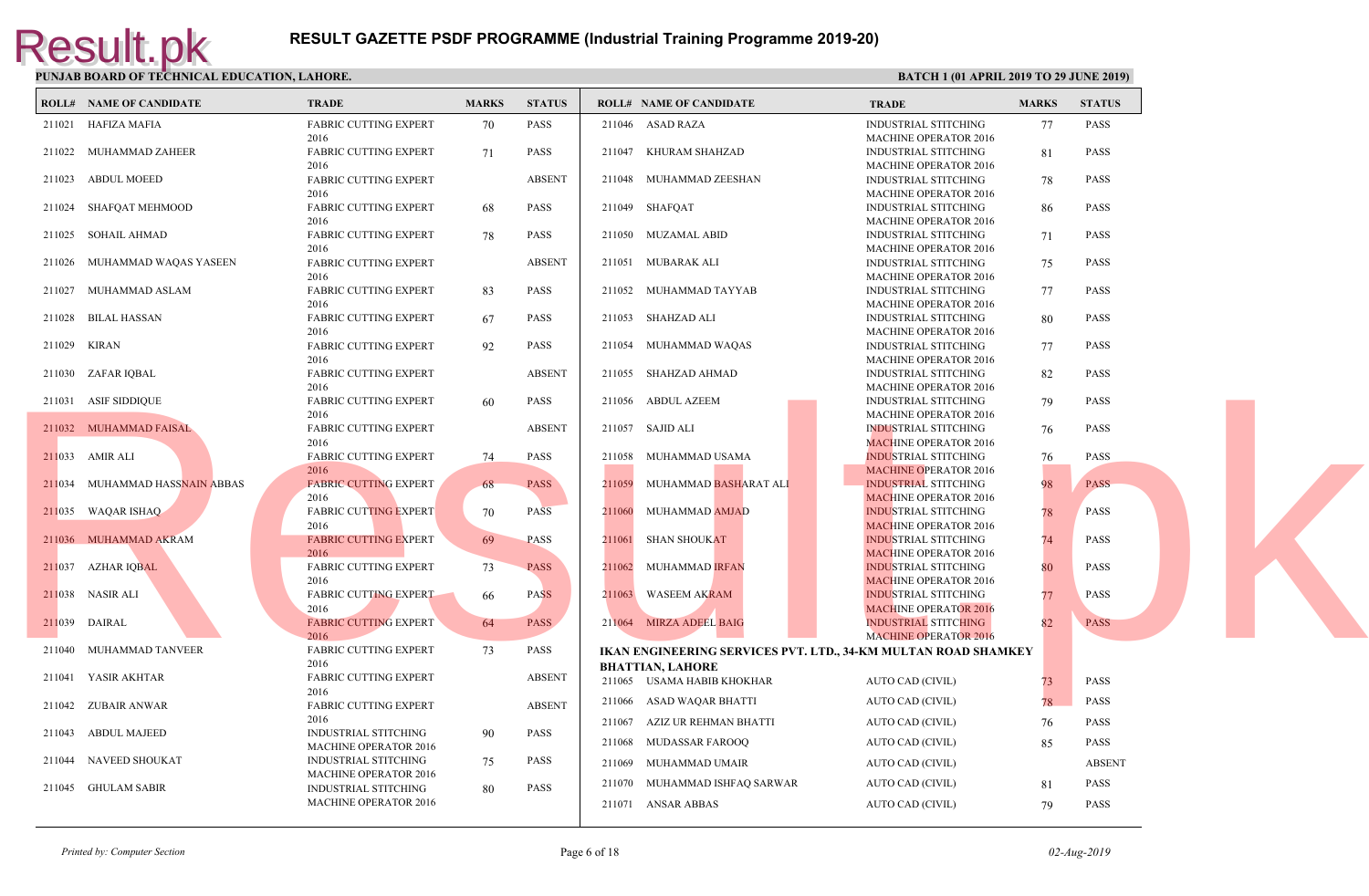| <b>ROLL# NAME OF CANDIDATE</b> | TRADE                                                       | <b>MARKS</b> | <b>STATUS</b> |        | <b>ROLL# NAME OF CANDIDATE</b>                                           | <b>TRAL</b>                 |
|--------------------------------|-------------------------------------------------------------|--------------|---------------|--------|--------------------------------------------------------------------------|-----------------------------|
| 211021 HAFIZA MAFIA            | <b>FABRIC CUTTING EXPERT</b>                                | 70           | PASS          |        | 211046 ASAD RAZA                                                         | <b>INDUS</b>                |
| 211022 MUHAMMAD ZAHEER         | 2016<br><b>FABRIC CUTTING EXPERT</b>                        | 71           | <b>PASS</b>   |        | 211047 KHURAM SHAHZAD                                                    | <b>MACH</b><br><b>INDUS</b> |
| 211023 ABDUL MOEED             | 2016<br><b>FABRIC CUTTING EXPERT</b>                        |              | <b>ABSENT</b> | 211048 | MUHAMMAD ZEESHAN                                                         | <b>MACH</b><br><b>INDUS</b> |
| 211024 SHAFQAT MEHMOOD         | 2016<br><b>FABRIC CUTTING EXPERT</b>                        | 68           | <b>PASS</b>   |        | 211049 SHAFQAT                                                           | <b>MACH</b><br><b>INDUS</b> |
| 211025 SOHAIL AHMAD            | 2016<br><b>FABRIC CUTTING EXPERT</b>                        | 78           | <b>PASS</b>   |        | 211050 MUZAMAL ABID                                                      | <b>MACH</b><br><b>INDUS</b> |
| 211026 MUHAMMAD WAQAS YASEEN   | 2016<br>FABRIC CUTTING EXPERT                               |              | <b>ABSENT</b> |        | 211051 MUBARAK ALI                                                       | <b>MACH</b><br><b>INDUS</b> |
| 211027 MUHAMMAD ASLAM          | 2016<br>FABRIC CUTTING EXPERT                               | 83           | <b>PASS</b>   |        | 211052 MUHAMMAD TAYYAB                                                   | <b>MACH</b><br><b>INDUS</b> |
| 211028 BILAL HASSAN            | 2016<br><b>FABRIC CUTTING EXPERT</b>                        | 67           | <b>PASS</b>   |        | 211053 SHAHZAD ALI                                                       | <b>MACH</b><br><b>INDUS</b> |
| 211029 KIRAN                   | 2016<br><b>FABRIC CUTTING EXPERT</b>                        | 92           | <b>PASS</b>   |        | 211054 MUHAMMAD WAQAS                                                    | <b>MACH</b><br><b>INDUS</b> |
| 211030 ZAFAR IQBAL             | 2016<br><b>FABRIC CUTTING EXPERT</b>                        |              | <b>ABSENT</b> |        | 211055 SHAHZAD AHMAD                                                     | <b>MACH</b><br><b>INDUS</b> |
| 211031 ASIF SIDDIQUE           | 2016<br><b>FABRIC CUTTING EXPERT</b>                        | 60           | <b>PASS</b>   |        | 211056 ABDUL AZEEM                                                       | <b>MACH</b><br><b>INDUS</b> |
|                                | 2016                                                        |              | <b>ABSENT</b> |        |                                                                          | <b>MACH</b><br><b>INDUS</b> |
| 211032 MUHAMMAD FAISAL         | FABRIC CUTTING EXPERT<br>2016                               |              |               |        | 211057 SAJID ALI                                                         | <b>MACH</b>                 |
| 211033 AMIR ALI                | <b>FABRIC CUTTING EXPERT</b><br>2016                        | 74           | <b>PASS</b>   |        | 211058 MUHAMMAD USAMA                                                    | <b>INDUS</b><br><b>MACH</b> |
| 211034 MUHAMMAD HASSNAIN ABBAS | <b>FABRIC CUTTING EXPERT</b><br>2016                        | 68           | <b>PASS</b>   |        | 211059 MUHAMMAD BASHARAT ALI                                             | <b>INDUS</b><br><b>MACE</b> |
| 211035 WAQAR ISHAQ             | <b>FABRIC CUTTING EXPERT</b><br>2016                        | 70           | <b>PASS</b>   |        | 211060 MUHAMMAD AMJAD                                                    | <b>INDUS</b><br><b>MACE</b> |
| 211036 MUHAMMAD AKRAM          | <b>FABRIC CUTTING EXPERT</b><br>2016                        | 69           | <b>PASS</b>   |        | 211061 SHAN SHOUKAT                                                      | <b>INDUS</b><br><b>MACE</b> |
| 211037 AZHAR IQBAL             | FABRIC CUTTING EXPERT<br>2016                               | 73           | <b>PASS</b>   |        | 211062 MUHAMMAD IRFAN                                                    | <b>INDUS</b><br><b>MACF</b> |
| 211038 NASIR ALI               | <b>FABRIC CUTTING EXPERT</b><br>2016                        | 66           | <b>PASS</b>   |        | 211063 WASEEM AKRAM                                                      | <b>INDUS</b><br><b>MACH</b> |
| 211039 DAIRAL                  | <b>FABRIC CUTTING EXPERT</b><br>2016                        | 64           | <b>PASS</b>   |        | 211064 MIRZA ADEEL BAIG                                                  | <b>INDUS</b><br><b>MACH</b> |
| 211040 MUHAMMAD TANVEER        | <b>FABRIC CUTTING EXPERT</b><br>2016                        | 73           | PASS          |        | IKAN ENGINEERING SERVICES PVT. LTD., 34-KM MU<br><b>BHATTIAN, LAHORE</b> |                             |
| 211041 YASIR AKHTAR            | <b>FABRIC CUTTING EXPERT</b><br>2016                        |              | <b>ABSENT</b> |        | 211065 USAMA HABIB KHOKHAR                                               | <b>AUTO</b>                 |
| 211042 ZUBAIR ANWAR            | <b>FABRIC CUTTING EXPERT</b><br>2016                        |              | <b>ABSENT</b> |        | 211066 ASAD WAQAR BHATTI                                                 | <b>AUTO</b>                 |
| 211043 ABDUL MAJEED            | <b>INDUSTRIAL STITCHING</b><br><b>MACHINE OPERATOR 2016</b> | 90           | <b>PASS</b>   | 211067 | AZIZ UR REHMAN BHATTI<br>211068 MUDASSAR FAROOQ                          | <b>AUTO</b><br><b>AUTO</b>  |
| 211044 NAVEED SHOUKAT          | INDUSTRIAL STITCHING                                        | 75           | PASS          | 211069 | MUHAMMAD UMAIR                                                           | <b>AUTO</b>                 |
| 211045 GHULAM SABIR            | MACHINE OPERATOR 2016<br><b>INDUSTRIAL STITCHING</b>        | 80           | <b>PASS</b>   |        | 211070 MUHAMMAD ISHFAQ SARWAR                                            | <b>AUTO</b>                 |
|                                | <b>MACHINE OPERATOR 2016</b>                                |              |               |        | 211071 ANSAR ABBAS                                                       | <b>AUTO</b>                 |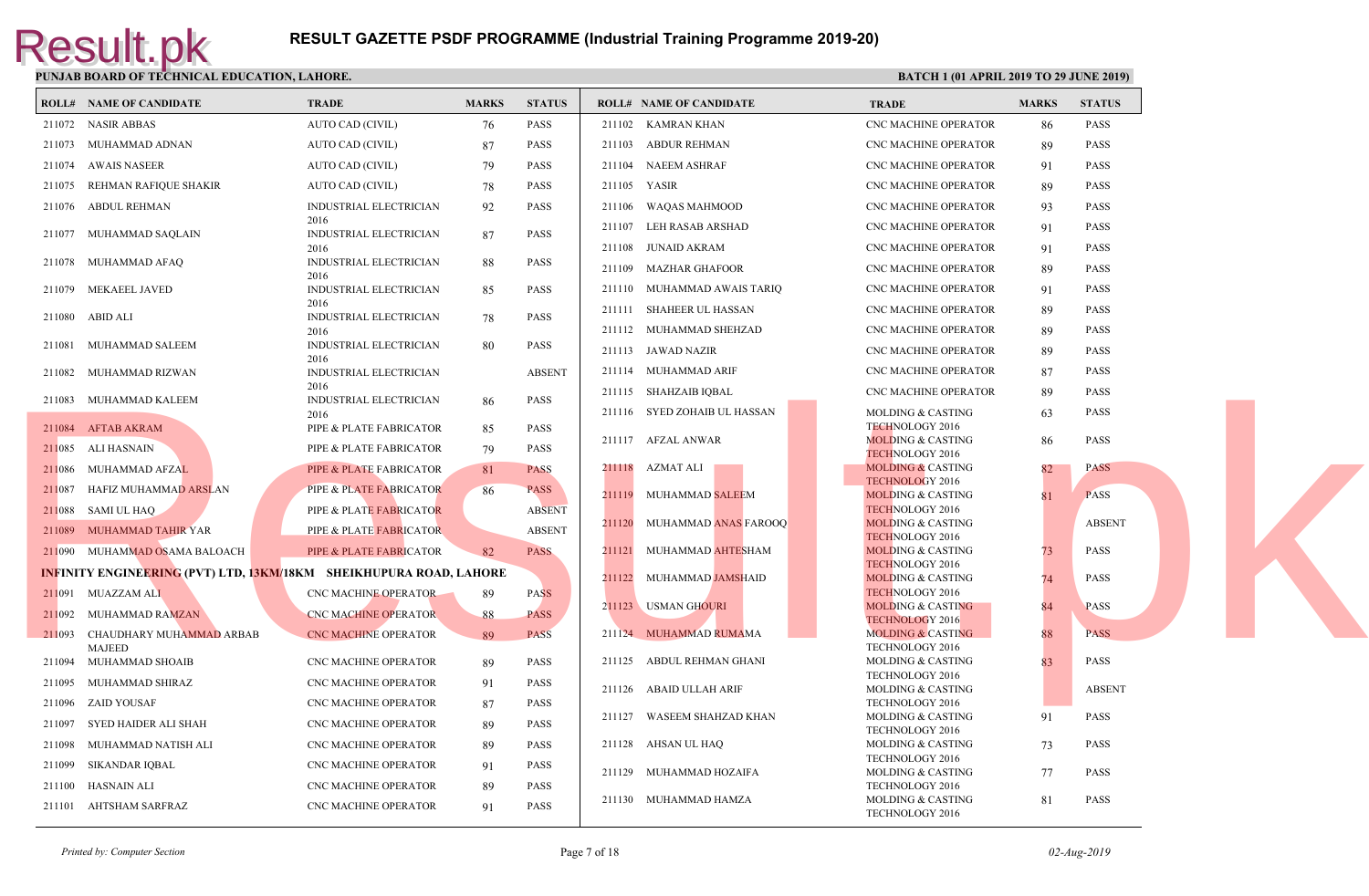|        | <b>ROLL# NAME OF CANDIDATE</b>                                            | TRADE                                 | <b>MARKS</b> | <b>STATUS</b> |        | <b>ROLL# NAME OF CANDIDATE</b> | <b>TRAL</b>                 |
|--------|---------------------------------------------------------------------------|---------------------------------------|--------------|---------------|--------|--------------------------------|-----------------------------|
|        | 211072 NASIR ABBAS                                                        | AUTO CAD (CIVIL)                      | 76           | PASS          |        | 211102 KAMRAN KHAN             | CNC <sub>N</sub>            |
|        | 211073 MUHAMMAD ADNAN                                                     | AUTO CAD (CIVIL)                      | 87           | <b>PASS</b>   |        | 211103 ABDUR REHMAN            | CNC <sub>N</sub>            |
|        | 211074 AWAIS NASEER                                                       | AUTO CAD (CIVIL)                      | 79           | <b>PASS</b>   |        | 211104 NAEEM ASHRAF            | CNC <sub>N</sub>            |
|        | 211075 REHMAN RAFIQUE SHAKIR                                              | AUTO CAD (CIVIL)                      | 78           | PASS          |        | 211105 YASIR                   | CNC <sub>N</sub>            |
|        | 211076 ABDUL REHMAN                                                       | <b>INDUSTRIAL ELECTRICIAN</b>         | 92           | <b>PASS</b>   | 211106 | WAQAS MAHMOOD                  | CNC <sub>N</sub>            |
|        | 211077 MUHAMMAD SAQLAIN                                                   | 2016<br>INDUSTRIAL ELECTRICIAN        | 87           | <b>PASS</b>   |        | 211107 LEH RASAB ARSHAD        | CNC <sub>N</sub>            |
|        |                                                                           | 2016                                  |              |               | 211108 | JUNAID AKRAM                   | CNC <sub>N</sub>            |
|        | 211078 MUHAMMAD AFAQ                                                      | <b>INDUSTRIAL ELECTRICIAN</b><br>2016 | 88           | <b>PASS</b>   | 211109 | MAZHAR GHAFOOR                 | CNC <sub>N</sub>            |
|        | 211079 MEKAEEL JAVED                                                      | <b>INDUSTRIAL ELECTRICIAN</b>         | 85           | <b>PASS</b>   |        | 211110 MUHAMMAD AWAIS TARIQ    | CNC <sub>N</sub>            |
| 211080 | ABID ALI                                                                  | 2016<br>INDUSTRIAL ELECTRICIAN        | 78           | <b>PASS</b>   |        | 211111 SHAHEER UL HASSAN       | CNC <sub>N</sub>            |
|        |                                                                           | 2016                                  |              |               |        | 211112 MUHAMMAD SHEHZAD        | CNC <sub>N</sub>            |
| 211081 | MUHAMMAD SALEEM                                                           | <b>INDUSTRIAL ELECTRICIAN</b><br>2016 | 80           | <b>PASS</b>   |        | 211113 JAWAD NAZIR             | CNC <sub>N</sub>            |
|        | 211082 MUHAMMAD RIZWAN                                                    | INDUSTRIAL ELECTRICIAN                |              | <b>ABSENT</b> |        | 211114 MUHAMMAD ARIF           | CNC <sub>N</sub>            |
|        | 211083 MUHAMMAD KALEEM                                                    | 2016<br><b>INDUSTRIAL ELECTRICIAN</b> | 86           | <b>PASS</b>   |        | 211115 SHAHZAIB IQBAL          | CNC <sub>N</sub>            |
|        |                                                                           | 2016                                  |              |               |        | 211116 SYED ZOHAIB UL HASSAN   | <b>MOLD</b>                 |
|        | 211084 AFTAB AKRAM                                                        | PIPE & PLATE FABRICATOR               | 85           | <b>PASS</b>   |        | 211117 AFZAL ANWAR             | <b>TECHI</b><br><b>MOLD</b> |
|        | 211085 ALI HASNAIN                                                        | PIPE & PLATE FABRICATOR               | 79           | PASS          |        |                                | <b>TECHI</b>                |
|        | 211086 MUHAMMAD AFZAL                                                     | PIPE & PLATE FABRICATOR               | 81           | <b>PASS</b>   |        | 211118 AZMAT ALI               | <b>MOLD</b><br><b>TECHN</b> |
|        | 211087 HAFIZ MUHAMMAD ARSLAN                                              | PIPE & PLATE FABRICATOR               | 86           | <b>PASS</b>   |        | 211119 MUHAMMAD SALEEM         | <b>MOLD</b>                 |
|        | 211088 SAMI UL HAQ                                                        | PIPE & PLATE FABRICATOR               |              | <b>ABSENT</b> |        | 211120 MUHAMMAD ANAS FAROOQ    | <b>TECHI</b><br><b>MOLD</b> |
|        | 211089 MUHAMMAD TAHIR YAR                                                 | PIPE & PLATE FABRICATOR               |              | <b>ABSENT</b> |        |                                | <b>TECHI</b>                |
|        | 211090 MUHAMMAD OSAMA BALOACH                                             | PIPE & PLATE FABRICATOR               | 82           | <b>PASS</b>   |        | 211121 MUHAMMAD AHTESHAM       | <b>MOLD</b><br><b>TECHI</b> |
|        | <b>INFINITY ENGINEERING (PVT) LTD, 13KM/18KM SHEIKHUPURA ROAD, LAHORE</b> |                                       |              |               |        | 211122 MUHAMMAD JAMSHAID       | <b>MOLD</b>                 |
|        | 211091 MUAZZAM ALI                                                        | CNC MACHINE OPERATOR                  | 89           | <b>PASS</b>   |        | 211123 USMAN GHOURI            | <b>TECHI</b><br><b>MOLD</b> |
|        | 211092 MUHAMMAD RAMZAN                                                    | <b>CNC MACHINE OPERATOR</b>           | 88           | <b>PASS</b>   |        |                                | <b>TECHN</b>                |
|        | 211093 CHAUDHARY MUHAMMAD ARBAB<br><b>MAJEED</b>                          | <b>CNC MACHINE OPERATOR</b>           | 89           | <b>PASS</b>   |        | 211124 MUHAMMAD RUMAMA         | <b>MOLD</b><br><b>TECHN</b> |
|        | 211094 MUHAMMAD SHOAIB                                                    | CNC MACHINE OPERATOR                  | -89          | <b>PASS</b>   |        | 211125 ABDUL REHMAN GHANI      | <b>MOLD</b>                 |
| 211095 | MUHAMMAD SHIRAZ                                                           | CNC MACHINE OPERATOR                  | 91           | <b>PASS</b>   |        | 211126 ABAID ULLAH ARIF        | <b>TECHN</b><br><b>MOLD</b> |
|        | 211096 ZAID YOUSAF                                                        | CNC MACHINE OPERATOR                  | 87           | <b>PASS</b>   |        |                                | <b>TECHN</b>                |
| 211097 | SYED HAIDER ALI SHAH                                                      | CNC MACHINE OPERATOR                  | 89           | <b>PASS</b>   |        | 211127 WASEEM SHAHZAD KHAN     | <b>MOLD</b><br><b>TECHI</b> |
| 211098 | MUHAMMAD NATISH ALI                                                       | CNC MACHINE OPERATOR                  | 89           | <b>PASS</b>   |        | 211128 AHSAN UL HAQ            | <b>MOLD</b>                 |
|        | 211099 SIKANDAR IQBAL                                                     | CNC MACHINE OPERATOR                  | 91           | <b>PASS</b>   |        | 211129 MUHAMMAD HOZAIFA        | <b>TECHN</b><br><b>MOLD</b> |
| 211100 | HASNAIN ALI                                                               | CNC MACHINE OPERATOR                  | 89           | <b>PASS</b>   |        |                                | <b>TECHN</b>                |
|        | 211101 AHTSHAM SARFRAZ                                                    | <b>CNC MACHINE OPERATOR</b>           | 91           | <b>PASS</b>   |        | 211130 MUHAMMAD HAMZA          | <b>MOLD</b><br><b>TECHI</b> |
|        |                                                                           |                                       |              |               |        |                                |                             |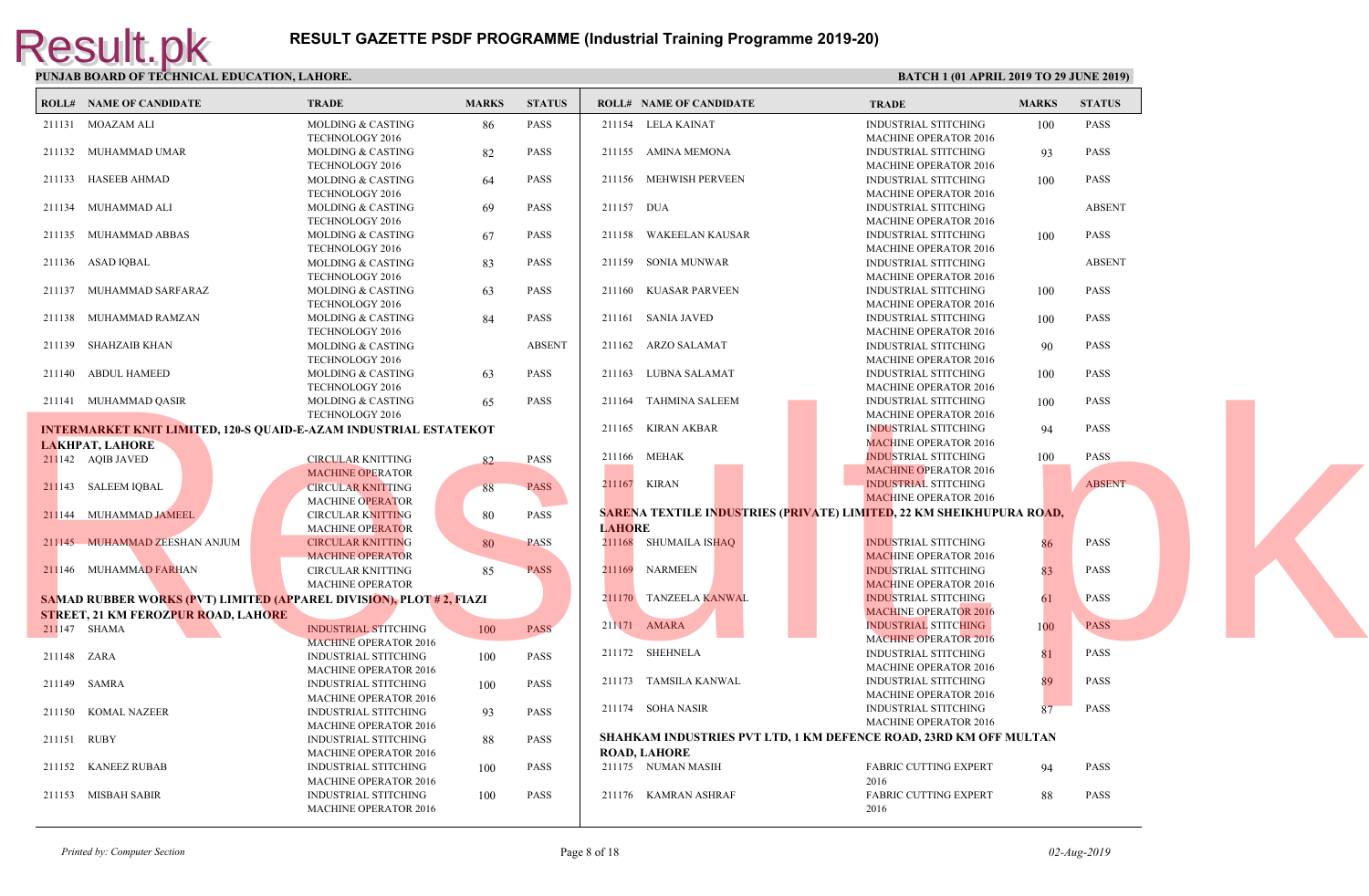|             | <b>ROLL# NAME OF CANDIDATE</b>                                              | <b>TRADE</b>                 | <b>MARKS</b> | <b>STATUS</b> |               | <b>ROLL# NAME OF CANDIDATE</b>                      | <b>TRAL</b>  |
|-------------|-----------------------------------------------------------------------------|------------------------------|--------------|---------------|---------------|-----------------------------------------------------|--------------|
|             | 211131 MOAZAM ALI                                                           | <b>MOLDING &amp; CASTING</b> | 86           | PASS          |               | 211154 LELA KAINAT                                  | <b>INDUS</b> |
|             |                                                                             | TECHNOLOGY 2016              |              |               |               |                                                     | <b>MACH</b>  |
|             | 211132 MUHAMMAD UMAR                                                        | <b>MOLDING &amp; CASTING</b> | 82           | <b>PASS</b>   |               | 211155 AMINA MEMONA                                 | <b>INDUS</b> |
|             |                                                                             | TECHNOLOGY 2016              |              |               |               |                                                     | <b>MACH</b>  |
|             | 211133 HASEEB AHMAD                                                         | <b>MOLDING &amp; CASTING</b> | 64           | <b>PASS</b>   |               | 211156 MEHWISH PERVEEN                              | <b>INDUS</b> |
|             |                                                                             | TECHNOLOGY 2016              |              |               |               |                                                     | <b>MACH</b>  |
|             | 211134 MUHAMMAD ALI                                                         | <b>MOLDING &amp; CASTING</b> | 69           | <b>PASS</b>   | 211157 DUA    |                                                     | <b>INDUS</b> |
|             |                                                                             | TECHNOLOGY 2016              |              |               |               |                                                     | <b>MACH</b>  |
|             | 211135 MUHAMMAD ABBAS                                                       | <b>MOLDING &amp; CASTING</b> | 67           | <b>PASS</b>   | 211158        | WAKEELAN KAUSAR                                     | <b>INDUS</b> |
|             |                                                                             | TECHNOLOGY 2016              |              |               |               |                                                     | <b>MACH</b>  |
|             | 211136 ASAD IQBAL                                                           | MOLDING & CASTING            | 83           | <b>PASS</b>   |               | 211159 SONIA MUNWAR                                 | <b>INDUS</b> |
|             |                                                                             | TECHNOLOGY 2016              |              |               |               |                                                     | <b>MACH</b>  |
|             | 211137 MUHAMMAD SARFARAZ                                                    | MOLDING & CASTING            | 63           | <b>PASS</b>   |               | 211160 KUASAR PARVEEN                               | <b>INDUS</b> |
|             |                                                                             | TECHNOLOGY 2016              |              |               |               |                                                     | <b>MACH</b>  |
|             | 211138 MUHAMMAD RAMZAN                                                      | <b>MOLDING &amp; CASTING</b> | 84           | <b>PASS</b>   |               | 211161 SANIA JAVED                                  | <b>INDUS</b> |
|             |                                                                             | TECHNOLOGY 2016              |              |               |               |                                                     | <b>MACH</b>  |
|             | 211139 SHAHZAIB KHAN                                                        | <b>MOLDING &amp; CASTING</b> |              | <b>ABSENT</b> |               | 211162 ARZO SALAMAT                                 | <b>INDUS</b> |
|             |                                                                             | TECHNOLOGY 2016              |              |               |               |                                                     | <b>MACH</b>  |
|             | 211140 ABDUL HAMEED                                                         | <b>MOLDING &amp; CASTING</b> | 63           | <b>PASS</b>   |               | 211163 LUBNA SALAMAT                                | <b>INDUS</b> |
|             |                                                                             | TECHNOLOGY 2016              |              |               |               |                                                     | <b>MACH</b>  |
|             | 211141 MUHAMMAD QASIR                                                       | <b>MOLDING &amp; CASTING</b> | 65           | <b>PASS</b>   |               | 211164 TAHMINA SALEEM                               | <b>INDUS</b> |
|             |                                                                             | TECHNOLOGY 2016              |              |               |               |                                                     | <b>MACH</b>  |
|             | <b>INTERMARKET KNIT LIMITED, 120-S QUAID-E-AZAM INDUSTRIAL ESTATEKOT</b>    |                              |              |               |               | 211165 KIRAN AKBAR                                  | <b>INDUS</b> |
|             | <b>LAKHPAT, LAHORE</b>                                                      |                              |              |               |               |                                                     | <b>MACF</b>  |
|             | 211142 AQIB JAVED                                                           | <b>CIRCULAR KNITTING</b>     | 82           | <b>PASS</b>   |               | 211166 MEHAK                                        | <b>INDUS</b> |
|             |                                                                             | <b>MACHINE OPERATOR</b>      |              |               |               |                                                     | <b>MACH</b>  |
|             | 211143 SALEEM IQBAL                                                         | <b>CIRCULAR KNITTING</b>     | 88           | <b>PASS</b>   |               | 211167 KIRAN                                        | <b>INDUS</b> |
|             |                                                                             | <b>MACHINE OPERATOR</b>      |              |               |               |                                                     | <b>MACE</b>  |
|             | 211144 MUHAMMAD JAMEEL                                                      | <b>CIRCULAR KNITTING</b>     | 80           | <b>PASS</b>   |               | <b>SARENA TEXTILE INDUSTRIES (PRIVATE) LIMITED.</b> |              |
|             |                                                                             |                              |              |               | <b>LAHORE</b> |                                                     |              |
|             | 211145 MUHAMMAD ZEESHAN ANJUM                                               | <b>MACHINE OPERATOR</b>      |              | <b>PASS</b>   |               |                                                     | <b>INDUS</b> |
|             |                                                                             | <b>CIRCULAR KNITTING</b>     | 80           |               |               | 211168 SHUMAILA ISHAQ                               | <b>MACE</b>  |
|             |                                                                             | <b>MACHINE OPERATOR</b>      |              |               |               |                                                     |              |
|             | 211146 MUHAMMAD FARHAN                                                      | <b>CIRCULAR KNITTING</b>     | 85           | <b>PASS</b>   |               | 211169 NARMEEN                                      | <b>INDUS</b> |
|             |                                                                             | MACHINE OPERATOR             |              |               |               |                                                     | <b>MACF</b>  |
|             | <b>SAMAD RUBBER WORKS (PVT) LIMITED (APPAREL DIVISION), PLOT # 2, FIAZI</b> |                              |              |               |               | 211170 TANZEELA KANWAL                              | <b>INDUS</b> |
|             | <b>STREET, 21 KM FEROZPUR ROAD, LAHORE</b>                                  |                              |              |               |               |                                                     | <b>MACH</b>  |
|             | 211 <sup>147</sup> SHAMA                                                    | <b>INDUSTRIAL STITCHING</b>  | 100          | <b>PASS</b>   |               | 211171 AMARA                                        | <b>INDUS</b> |
|             |                                                                             | <b>MACHINE OPERATOR 2016</b> |              |               |               |                                                     | <b>MACH</b>  |
| 211148 ZARA |                                                                             | <b>INDUSTRIAL STITCHING</b>  | 100          | <b>PASS</b>   |               | 211172 SHEHNELA                                     | <b>INDUS</b> |
|             |                                                                             | MACHINE OPERATOR 2016        |              |               |               |                                                     | <b>MACH</b>  |
|             | 211149 SAMRA                                                                | <b>INDUSTRIAL STITCHING</b>  | 100          | PASS          |               | 211173 TAMSILA KANWAL                               | <b>INDUS</b> |
|             |                                                                             | <b>MACHINE OPERATOR 2016</b> |              |               |               |                                                     | <b>MACH</b>  |
|             | 211150 KOMAL NAZEER                                                         | <b>INDUSTRIAL STITCHING</b>  | 93           | PASS          |               | 211174 SOHA NASIR                                   | <b>INDUS</b> |
|             |                                                                             | <b>MACHINE OPERATOR 2016</b> |              |               |               |                                                     | <b>MACH</b>  |
| 211151 RUBY |                                                                             | INDUSTRIAL STITCHING         | 88           | <b>PASS</b>   |               | <b>SHAHKAM INDUSTRIES PVT LTD, 1 KM DEFENCE RQ</b>  |              |
|             |                                                                             | MACHINE OPERATOR 2016        |              |               |               | <b>ROAD, LAHORE</b>                                 |              |
|             | 211152 KANEEZ RUBAB                                                         | <b>INDUSTRIAL STITCHING</b>  | 100          | PASS          |               | 211175 NUMAN MASIH                                  | FABRI        |
|             |                                                                             | <b>MACHINE OPERATOR 2016</b> |              |               |               |                                                     | 2016         |
|             | 211153 MISBAH SABIR                                                         | <b>INDUSTRIAL STITCHING</b>  | 100          | <b>PASS</b>   |               | 211176 KAMRAN ASHRAF                                | <b>FABRI</b> |
|             |                                                                             | <b>MACHINE OPERATOR 2016</b> |              |               |               |                                                     | 2016         |
|             |                                                                             |                              |              |               |               |                                                     |              |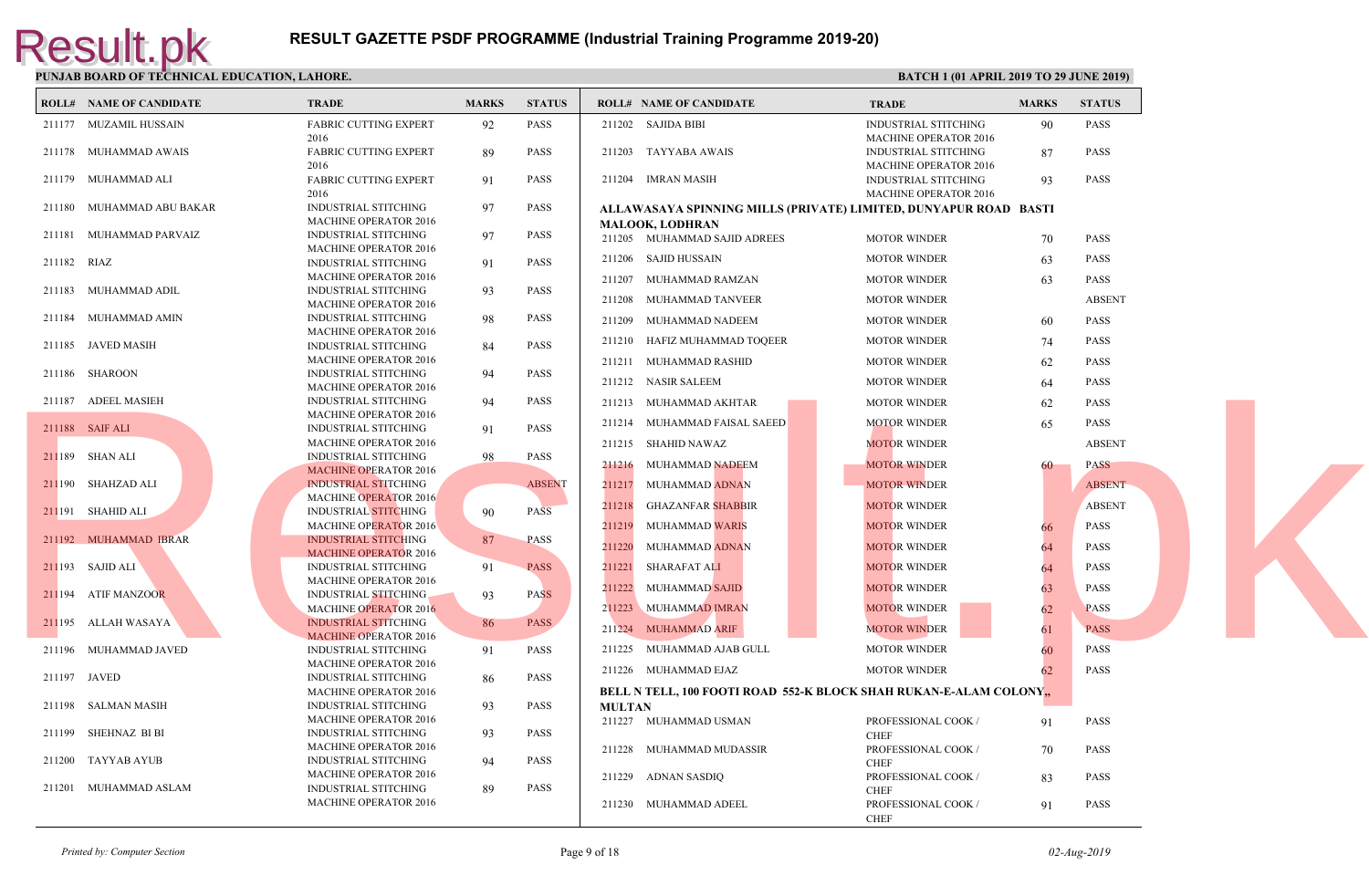|             | <b>ROLL# NAME OF CANDIDATE</b> | <b>TRADE</b>                                                | <b>MARKS</b> | <b>STATUS</b> | <b>ROLL# NAME OF CANDIDATE</b>               | <b>TRAL</b>  |
|-------------|--------------------------------|-------------------------------------------------------------|--------------|---------------|----------------------------------------------|--------------|
|             | 211177 MUZAMIL HUSSAIN         | <b>FABRIC CUTTING EXPERT</b>                                | 92           | <b>PASS</b>   | 211202 SAJIDA BIBI                           | <b>INDUS</b> |
|             |                                | 2016                                                        |              |               |                                              | <b>MACH</b>  |
|             | 211178 MUHAMMAD AWAIS          | <b>FABRIC CUTTING EXPERT</b>                                | 89           | <b>PASS</b>   | 211203 TAYYABA AWAIS                         | <b>INDUS</b> |
|             |                                | 2016                                                        |              |               |                                              | <b>MACH</b>  |
|             | 211179 MUHAMMAD ALI            | <b>FABRIC CUTTING EXPERT</b>                                | 91           | <b>PASS</b>   | 211204 IMRAN MASIH                           | <b>INDUS</b> |
|             |                                | 2016                                                        |              |               |                                              | <b>MACH</b>  |
|             | 211180 MUHAMMAD ABU BAKAR      | <b>INDUSTRIAL STITCHING</b>                                 | 97           | <b>PASS</b>   | ALLAWASAYA SPINNING MILLS (PRIVATE) LIMITEI  |              |
|             |                                | <b>MACHINE OPERATOR 2016</b>                                |              |               | <b>MALOOK, LODHRAN</b>                       |              |
|             | 211181 MUHAMMAD PARVAIZ        | <b>INDUSTRIAL STITCHING</b>                                 | 97           | <b>PASS</b>   | 211205 MUHAMMAD SAJID ADREES                 | <b>MOTO</b>  |
|             |                                | <b>MACHINE OPERATOR 2016</b>                                |              |               | 211206 SAJID HUSSAIN                         | <b>MOTO</b>  |
| 211182 RIAZ |                                | <b>INDUSTRIAL STITCHING</b>                                 | 91           | <b>PASS</b>   |                                              |              |
|             |                                | MACHINE OPERATOR 2016                                       |              |               | 211207 MUHAMMAD RAMZAN                       | <b>MOTO</b>  |
|             | 211183 MUHAMMAD ADIL           | <b>INDUSTRIAL STITCHING</b>                                 | 93           | PASS          | 211208 MUHAMMAD TANVEER                      | <b>MOTO</b>  |
|             |                                | <b>MACHINE OPERATOR 2016</b>                                |              |               |                                              |              |
|             | 211184 MUHAMMAD AMIN           | <b>INDUSTRIAL STITCHING</b>                                 | 98           | <b>PASS</b>   | 211209<br>MUHAMMAD NADEEM                    | <b>MOTO</b>  |
|             |                                | <b>MACHINE OPERATOR 2016</b>                                |              |               | 211210 HAFIZ MUHAMMAD TOQEER                 | <b>MOTO</b>  |
|             | 211185 JAVED MASIH             | INDUSTRIAL STITCHING                                        | 84           | <b>PASS</b>   |                                              |              |
|             |                                | <b>MACHINE OPERATOR 2016</b>                                |              |               | 211211 MUHAMMAD RASHID                       | <b>MOTO</b>  |
|             | 211186 SHAROON                 | <b>INDUSTRIAL STITCHING</b>                                 | 94           | <b>PASS</b>   | 211212 NASIR SALEEM                          | <b>MOTO</b>  |
|             |                                | MACHINE OPERATOR 2016                                       |              |               |                                              |              |
|             | 211187 ADEEL MASIEH            | <b>INDUSTRIAL STITCHING</b>                                 | 94           | <b>PASS</b>   | 211213 MUHAMMAD AKHTAR                       | <b>MOTO</b>  |
|             |                                | <b>MACHINE OPERATOR 2016</b>                                |              |               | 211214 MUHAMMAD FAISAL SAEED                 | <b>MOTO</b>  |
|             | 211188 SAIF ALI                | <b>INDUSTRIAL STITCHING</b>                                 | 91           | <b>PASS</b>   |                                              |              |
|             |                                | <b>MACHINE OPERATOR 2016</b>                                |              |               | 211215 SHAHID NAWAZ                          | <b>MOTC</b>  |
|             | 211189 SHAN ALI                | <b>INDUSTRIAL STITCHING</b>                                 | 98           | PASS          | 211216 MUHAMMAD NADEEM                       | <b>MOTO</b>  |
|             |                                | <b>MACHINE OPERATOR 2016</b>                                |              |               |                                              |              |
|             | 211190 SHAHZAD ALI             | <b>INDUSTRIAL STITCHING</b>                                 |              | <b>ABSENT</b> | 211217 MUHAMMAD ADNAN                        | <b>MOTO</b>  |
|             |                                | <b>MACHINE OPERATOR 2016</b>                                |              |               | 211218<br><b>GHAZANFAR SHABBIR</b>           | <b>MOTO</b>  |
|             | 211191 SHAHID ALI              | <b>INDUSTRIAL STITCHING</b>                                 | 90           | <b>PASS</b>   |                                              |              |
|             |                                | <b>MACHINE OPERATOR 2016</b>                                |              |               | <b>MUHAMMAD WARIS</b><br>211219              | <b>MOTO</b>  |
|             | 211192 MUHAMMAD IBRAR          | <b>INDUSTRIAL STITCHING</b>                                 | 87           | <b>PASS</b>   | 211220<br>MUHAMMAD ADNAN                     | <b>MOTO</b>  |
|             |                                | <b>MACHINE OPERATOR 2016</b>                                |              |               |                                              |              |
|             | 211193 SAJID ALI               | <b>INDUSTRIAL STITCHING</b>                                 | 91           | <b>PASS</b>   | 211221 SHARAFAT ALI                          | <b>MOTO</b>  |
|             | 211194 ATIF MANZOOR            | <b>MACHINE OPERATOR 2016</b><br><b>INDUSTRIAL STITCHING</b> |              | <b>PASS</b>   | 211222 MUHAMMAD SAJID                        | <b>MOTO</b>  |
|             |                                | <b>MACHINE OPERATOR 2016</b>                                | 93           |               | 211223 MUHAMMAD IMRAN                        | <b>MOTO</b>  |
|             | 211195 ALLAH WASAYA            | <b>INDUSTRIAL STITCHING</b>                                 | 86           | <b>PASS</b>   |                                              |              |
|             |                                | <b>MACHINE OPERATOR 2016</b>                                |              |               | 211224 MUHAMMAD ARIF                         | <b>MOTO</b>  |
|             | 211196 MUHAMMAD JAVED          | <b>INDUSTRIAL STITCHING</b>                                 |              | <b>PASS</b>   | 211225 MUHAMMAD AJAB GULL                    | <b>MOTO</b>  |
|             |                                | <b>MACHINE OPERATOR 2016</b>                                | 91           |               |                                              |              |
|             | 211197 JAVED                   | INDUSTRIAL STITCHING                                        |              | <b>PASS</b>   | 211226 MUHAMMAD EJAZ                         | <b>MOTO</b>  |
|             |                                | <b>MACHINE OPERATOR 2016</b>                                | 86           |               |                                              |              |
|             | 211198 SALMAN MASIH            | <b>INDUSTRIAL STITCHING</b>                                 | 93           | <b>PASS</b>   | BELL N TELL, 100 FOOTI ROAD 552-K BLOCK SHAH |              |
|             |                                | <b>MACHINE OPERATOR 2016</b>                                |              |               | <b>MULTAN</b>                                |              |
|             | 211199 SHEHNAZ BI BI           | INDUSTRIAL STITCHING                                        | 93           | <b>PASS</b>   | 211227 MUHAMMAD USMAN                        | <b>PROFE</b> |
|             |                                | MACHINE OPERATOR 2016                                       |              |               |                                              | <b>CHEF</b>  |
|             | 211200 TAYYAB AYUB             | <b>INDUSTRIAL STITCHING</b>                                 | 94           | <b>PASS</b>   | 211228 MUHAMMAD MUDASSIR                     | <b>PROFE</b> |
|             |                                | MACHINE OPERATOR 2016                                       |              |               |                                              | <b>CHEF</b>  |
|             | 211201 MUHAMMAD ASLAM          | <b>INDUSTRIAL STITCHING</b>                                 | 89           | <b>PASS</b>   | 211229 ADNAN SASDIQ                          | <b>PROFI</b> |
|             |                                | <b>MACHINE OPERATOR 2016</b>                                |              |               |                                              | <b>CHEF</b>  |
|             |                                |                                                             |              |               | 211230 MUHAMMAD ADEEL                        | <b>PROFE</b> |

CHEF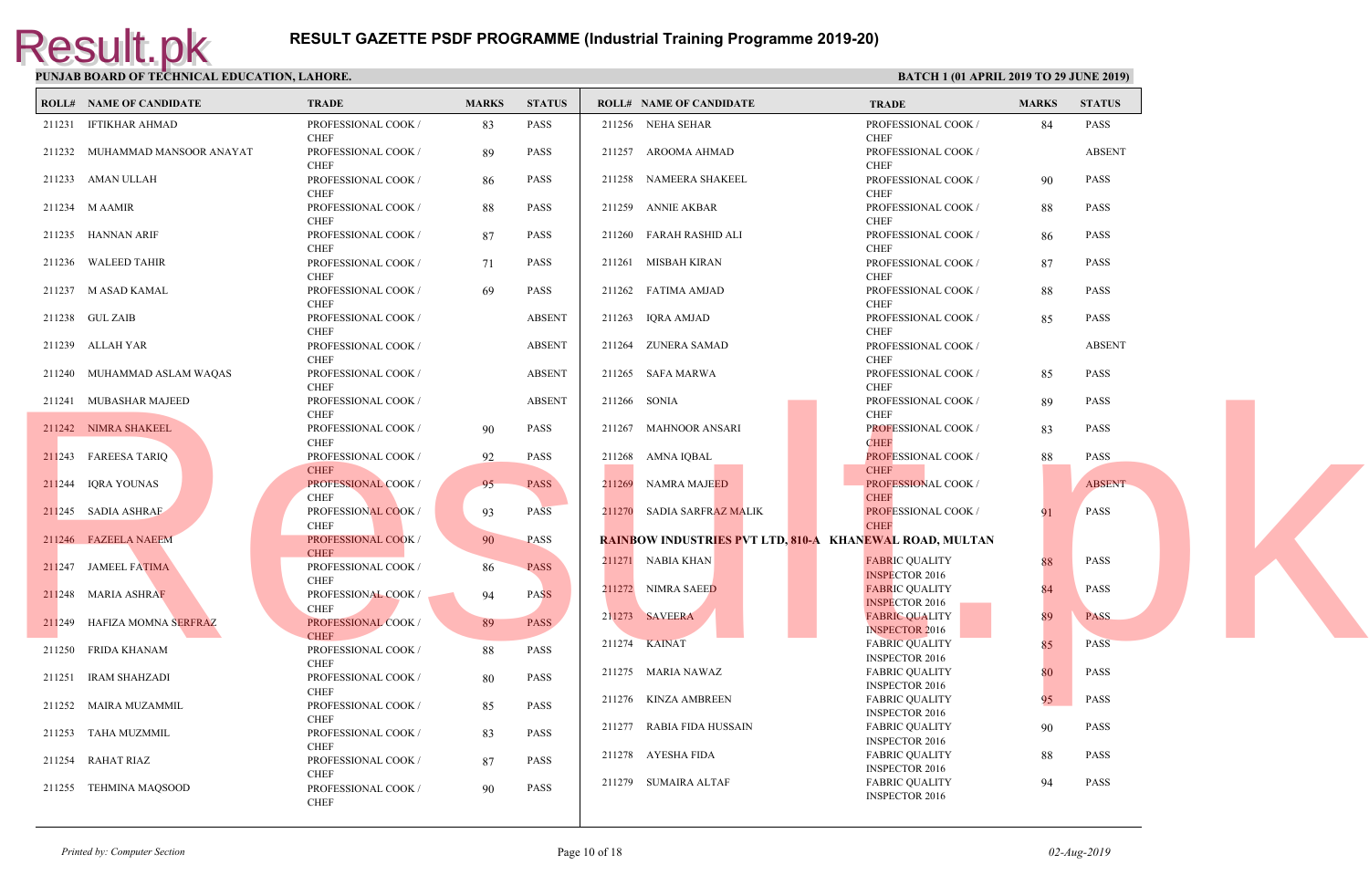| <b>ROLL# NAME OF CANDIDATE</b> | TRADE                                      | <b>MARKS</b> | <b>STATUS</b> | <b>ROLL# NAME OF CANDIDATE</b>                    | <b>TRAD</b>                                |
|--------------------------------|--------------------------------------------|--------------|---------------|---------------------------------------------------|--------------------------------------------|
| 211231 IFTIKHAR AHMAD          | PROFESSIONAL COOK /<br><b>CHEF</b>         | 83           | PASS          | 211256 NEHA SEHAR                                 | <b>PROFE</b><br><b>CHEF</b>                |
| 211232 MUHAMMAD MANSOOR ANAYAT | PROFESSIONAL COOK /<br><b>CHEF</b>         | 89           | PASS          | 211257 AROOMA AHMAD                               | <b>PROFE</b><br><b>CHEF</b>                |
| 211233 AMAN ULLAH              | PROFESSIONAL COOK /<br><b>CHEF</b>         | 86           | <b>PASS</b>   | 211258 NAMEERA SHAKEEL                            | <b>PROFE</b><br><b>CHEF</b>                |
| 211234 M AAMIR                 | PROFESSIONAL COOK /                        | 88           | PASS          | 211259 ANNIE AKBAR                                | <b>PROFE</b>                               |
| 211235 HANNAN ARIF             | <b>CHEF</b><br>PROFESSIONAL COOK /         | 87           | <b>PASS</b>   | 211260 FARAH RASHID ALI                           | <b>CHEF</b><br><b>PROFE</b>                |
| 211236 WALEED TAHIR            | <b>CHEF</b><br>PROFESSIONAL COOK /         | 71           | PASS          | 211261 MISBAH KIRAN                               | <b>CHEF</b><br><b>PROFE</b>                |
| 211237 M ASAD KAMAL            | <b>CHEF</b><br>PROFESSIONAL COOK /<br>CHEF | 69           | PASS          | 211262 FATIMA AMJAD                               | <b>CHEF</b><br><b>PROFE</b><br><b>CHEF</b> |
| 211238 GUL ZAIB                | PROFESSIONAL COOK /<br><b>CHEF</b>         |              | <b>ABSENT</b> | 211263 IQRA AMJAD                                 | <b>PROFE</b><br><b>CHEF</b>                |
| 211239 ALLAH YAR               | PROFESSIONAL COOK /<br><b>CHEF</b>         |              | <b>ABSENT</b> | 211264 ZUNERA SAMAD                               | <b>PROFE</b><br><b>CHEF</b>                |
| 211240 MUHAMMAD ASLAM WAQAS    | PROFESSIONAL COOK /<br><b>CHEF</b>         |              | <b>ABSENT</b> | 211265 SAFA MARWA                                 | <b>PROFE</b><br><b>CHEF</b>                |
| 211241 MUBASHAR MAJEED         | PROFESSIONAL COOK /<br><b>CHEF</b>         |              | <b>ABSENT</b> | 211266 SONIA                                      | <b>PROFE</b><br>CHEF.                      |
| 211242 NIMRA SHAKEEL           | PROFESSIONAL COOK /<br><b>CHEF</b>         | 90           | PASS          | 211267 MAHNOOR ANSARI                             | <b>PROFE</b><br><b>CHEF</b>                |
| 211243 FAREESA TARIQ           | PROFESSIONAL COOK /<br><b>CHEF</b>         | 92           | PASS          | 211268 AMNA IQBAL                                 | <b>PROFE</b><br><b>CHEF</b>                |
| 211244 IQRA YOUNAS             | PROFESSIONAL COOK /<br>CHEF                | 95           | <b>PASS</b>   | 211269 NAMRA MAJEED                               | <b>PROFE</b><br><b>CHEF</b>                |
| 211245 SADIA ASHRAF            | PROFESSIONAL COOK /<br>CHEF                | 93           | <b>PASS</b>   | 211270 SADIA SARFRAZ MALIK                        | <b>PROFI</b><br><b>CHEF</b>                |
| 211246 FAZEELA NAEEM           | PROFESSIONAL COOK /<br><b>CHEF</b>         | 90           | <b>PASS</b>   | <b>RAINBOW INDUSTRIES PVT LTD, 810-A KHANEWAI</b> |                                            |
| 211247 JAMEEL FATIMA           | PROFESSIONAL COOK /<br><b>CHEF</b>         | 86           | <b>PASS</b>   | 211271 NABIA KHAN                                 | <b>FABRI</b><br><b>INSPE</b>               |
| 211248 MARIA ASHRAF            | PROFESSIONAL COOK /<br><b>CHEF</b>         | 94           | <b>PASS</b>   | 211272 NIMRA SAEED                                | <b>FABRI</b><br><b>INSPE</b>               |
| 211249 HAFIZA MOMNA SERFRAZ    | PROFESSIONAL COOK /<br><b>CHEF</b>         | 89           | PASS          | 211273 SAVEERA                                    | FABRI<br><b>INSPE</b>                      |
| 211250 FRIDA KHANAM            | PROFESSIONAL COOK /<br>CHEF                | 88           | PASS          | 211274 KAINAT                                     | <b>FABRI</b><br><b>INSPE</b>               |
| 211251 IRAM SHAHZADI           | PROFESSIONAL COOK /<br><b>CHEF</b>         | 80           | PASS          | 211275 MARIA NAWAZ                                | FABRI<br><b>INSPE</b>                      |
| 211252 MAIRA MUZAMMIL          | PROFESSIONAL COOK /<br><b>CHEF</b>         | 85           | PASS          | 211276 KINZA AMBREEN                              | <b>FABRI</b><br><b>INSPE</b>               |
| 211253 TAHA MUZMMIL            | PROFESSIONAL COOK /<br><b>CHEF</b>         | 83           | PASS          | 211277 RABIA FIDA HUSSAIN                         | <b>FABRI</b><br><b>INSPE</b>               |
| 211254 RAHAT RIAZ              | PROFESSIONAL COOK /<br><b>CHEF</b>         | 87           | <b>PASS</b>   | 211278 AYESHA FIDA<br>211279 SUMAIRA ALTAF        | FABRI<br><b>INSPE</b><br>FABRI             |
| 211255 TEHMINA MAQSOOD         | PROFESSIONAL COOK /<br><b>CHEF</b>         | 90           | <b>PASS</b>   |                                                   | <b>INSPE</b>                               |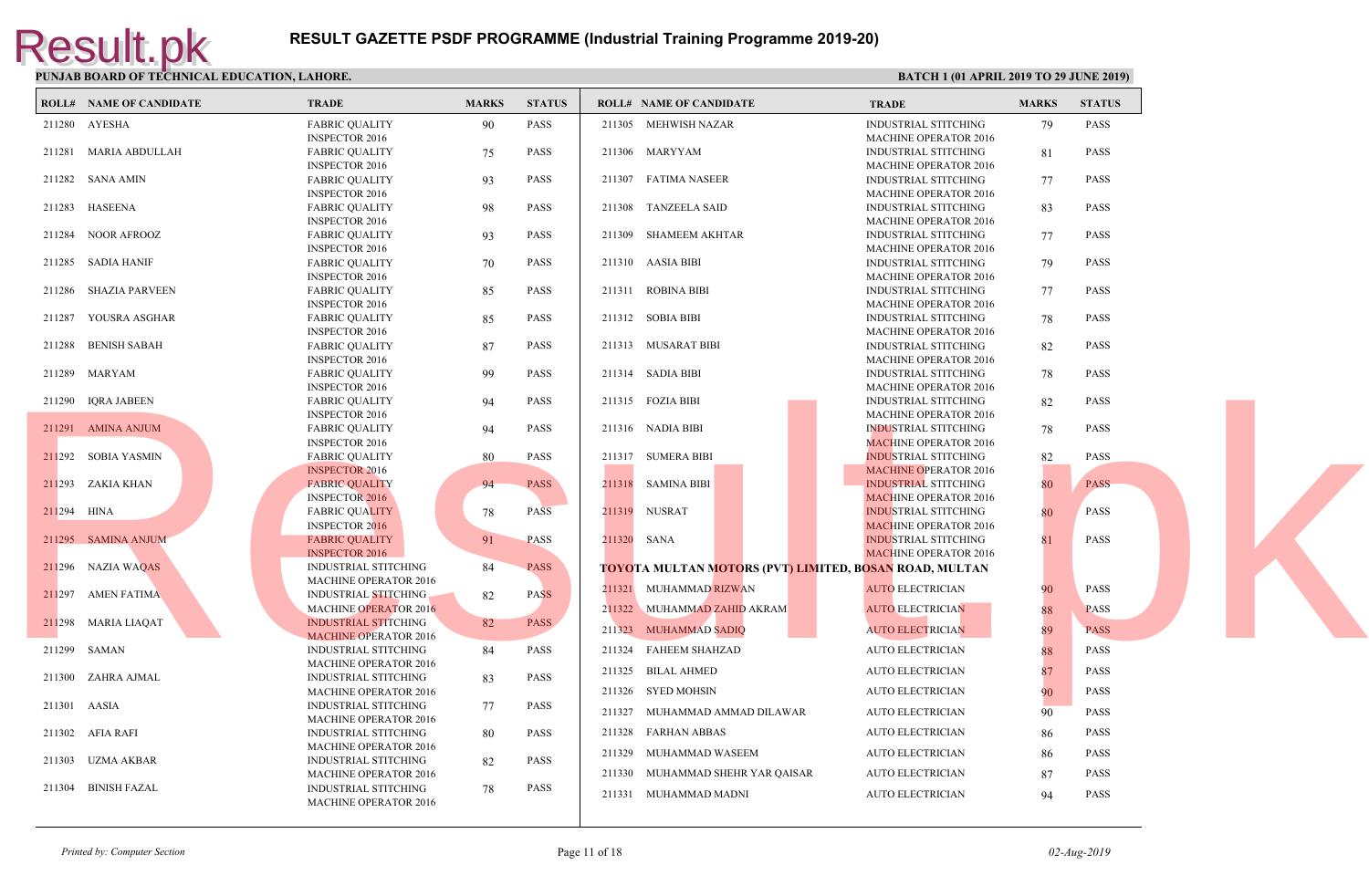|              | <b>ROLL# NAME OF CANDIDATE</b> | <b>TRADE</b>                 | <b>MARKS</b> | <b>STATUS</b> | <b>ROLL# NAME OF CANDIDATE</b>                   | <b>TRAD</b>  |
|--------------|--------------------------------|------------------------------|--------------|---------------|--------------------------------------------------|--------------|
|              | 211280 AYESHA                  | <b>FABRIC QUALITY</b>        | 90           | <b>PASS</b>   | 211305 MEHWISH NAZAR                             | <b>INDUS</b> |
|              |                                | <b>INSPECTOR 2016</b>        |              |               |                                                  | <b>MACH</b>  |
|              | 211281 MARIA ABDULLAH          | <b>FABRIC QUALITY</b>        | 75           | <b>PASS</b>   | 211306 MARYYAM                                   | <b>INDUS</b> |
|              |                                | <b>INSPECTOR 2016</b>        |              |               |                                                  | <b>MACH</b>  |
|              | 211282 SANA AMIN               | <b>FABRIC QUALITY</b>        | 93           | <b>PASS</b>   | 211307 FATIMA NASEER                             | <b>INDUS</b> |
|              |                                | <b>INSPECTOR 2016</b>        |              |               |                                                  | <b>MACH</b>  |
|              | 211283 HASEENA                 | <b>FABRIC QUALITY</b>        | 98           | <b>PASS</b>   | 211308 TANZEELA SAID                             | <b>INDUS</b> |
|              |                                | <b>INSPECTOR 2016</b>        |              |               |                                                  | <b>MACH</b>  |
|              | 211284 NOOR AFROOZ             | <b>FABRIC QUALITY</b>        | 93           | <b>PASS</b>   | 211309 SHAMEEM AKHTAR                            | <b>INDUS</b> |
|              |                                | <b>INSPECTOR 2016</b>        |              |               |                                                  | <b>MACH</b>  |
|              | 211285 SADIA HANIF             | <b>FABRIC QUALITY</b>        | 70           | PASS          | 211310 AASIA BIBI                                | <b>INDUS</b> |
|              |                                | <b>INSPECTOR 2016</b>        |              |               |                                                  | <b>MACH</b>  |
|              |                                |                              |              | <b>PASS</b>   | 211311 ROBINA BIBI                               | <b>INDUS</b> |
|              | 211286 SHAZIA PARVEEN          | <b>FABRIC QUALITY</b>        | 85           |               |                                                  |              |
|              |                                | <b>INSPECTOR 2016</b>        |              |               |                                                  | <b>MACH</b>  |
|              | 211287 YOUSRA ASGHAR           | <b>FABRIC QUALITY</b>        | 85           | <b>PASS</b>   | 211312 SOBIA BIBI                                | <b>INDUS</b> |
|              |                                | <b>INSPECTOR 2016</b>        |              |               |                                                  | <b>MACH</b>  |
|              | 211288 BENISH SABAH            | <b>FABRIC QUALITY</b>        | 87           | <b>PASS</b>   | 211313 MUSARAT BIBI                              | <b>INDUS</b> |
|              |                                | <b>INSPECTOR 2016</b>        |              |               |                                                  | <b>MACH</b>  |
|              | 211289 MARYAM                  | <b>FABRIC QUALITY</b>        | -99          | <b>PASS</b>   | 211314 SADIA BIBI                                | <b>INDUS</b> |
|              |                                | <b>INSPECTOR 2016</b>        |              |               |                                                  | <b>MACH</b>  |
|              | 211290 IQRA JABEEN             | <b>FABRIC QUALITY</b>        | 94           | <b>PASS</b>   | 211315 FOZIA BIBI                                | <b>INDUS</b> |
|              |                                | INSPECTOR 2016               |              |               |                                                  | <b>MACH</b>  |
|              | 211291 AMINA ANJUM             | <b>FABRIC QUALITY</b>        | 94           | <b>PASS</b>   | 211316 NADIA BIBI                                | <b>INDUS</b> |
|              |                                | <b>INSPECTOR 2016</b>        |              |               |                                                  | <b>MACF</b>  |
|              | 211292 SOBIA YASMIN            | <b>FABRIC QUALITY</b>        | 80           | <b>PASS</b>   | 211317 SUMERA BIBI                               | <b>INDUS</b> |
|              |                                | <b>INSPECTOR 2016</b>        |              |               |                                                  | <b>MACH</b>  |
|              | 211293 ZAKIA KHAN              |                              |              | <b>PASS</b>   | 211318 SAMINA BIBI                               |              |
|              |                                | <b>FABRIC QUALITY</b>        | 94           |               |                                                  | <b>INDUS</b> |
|              |                                | <b>INSPECTOR 2016</b>        |              |               |                                                  | <b>MACF</b>  |
| 211294 HINA  |                                | <b>FABRIC QUALITY</b>        | 78           | <b>PASS</b>   | 211319 NUSRAT                                    | <b>INDUS</b> |
|              |                                | <b>INSPECTOR 2016</b>        |              |               |                                                  | <b>MACF</b>  |
|              | 211295 SAMINA ANJUM            | <b>FABRIC QUALITY</b>        | 91           | <b>PASS</b>   | 211320 SANA                                      | <b>INDUS</b> |
|              |                                | <b>INSPECTOR 2016</b>        |              |               |                                                  | <b>MACE</b>  |
|              | 211296 NAZIA WAQAS             | <b>INDUSTRIAL STITCHING</b>  | 84           | <b>PASS</b>   | <b>TOYOTA MULTAN MOTORS (PVT) LIMITED, BOSAN</b> |              |
|              |                                | <b>MACHINE OPERATOR 2016</b> |              |               |                                                  |              |
|              | 211297 AMEN FATIMA             | <b>INDUSTRIAL STITCHING</b>  | 82           | <b>PASS</b>   | 211321 MUHAMMAD RIZWAN                           | <b>AUTO</b>  |
|              |                                | <b>MACHINE OPERATOR 2016</b> |              |               | 211322 MUHAMMAD ZAHID AKRAM                      | <b>AUTO</b>  |
|              | 211298 MARIA LIAQAT            | <b>INDUSTRIAL STITCHING</b>  | 82           | <b>PASS</b>   |                                                  |              |
|              |                                |                              |              |               | 211323 MUHAMMAD SADIQ                            | <b>AUTO</b>  |
|              |                                | <b>MACHINE OPERATOR 2016</b> |              |               |                                                  |              |
|              | 211299 SAMAN                   | <b>INDUSTRIAL STITCHING</b>  | 84           | PASS          | 211324 FAHEEM SHAHZAD                            | <b>AUTO</b>  |
|              |                                | <b>MACHINE OPERATOR 2016</b> |              |               | 211325 BILAL AHMED                               | <b>AUTO</b>  |
|              | 211300 ZAHRA AJMAL             | <b>INDUSTRIAL STITCHING</b>  | 83           | <b>PASS</b>   |                                                  |              |
|              |                                | MACHINE OPERATOR 2016        |              |               | 211326 SYED MOHSIN                               | <b>AUTO</b>  |
| 211301 AASIA |                                | INDUSTRIAL STITCHING         | 77           | <b>PASS</b>   | 211327 MUHAMMAD AMMAD DILAWAR                    | <b>AUTO</b>  |
|              |                                | <b>MACHINE OPERATOR 2016</b> |              |               |                                                  |              |
|              | 211302 AFIA RAFI               | INDUSTRIAL STITCHING         | 80           | <b>PASS</b>   | 211328 FARHAN ABBAS                              | <b>AUTO</b>  |
|              |                                | <b>MACHINE OPERATOR 2016</b> |              |               |                                                  |              |
|              | 211303 UZMA AKBAR              | <b>INDUSTRIAL STITCHING</b>  | 82           | <b>PASS</b>   | 211329 MUHAMMAD WASEEM                           | <b>AUTO</b>  |
|              |                                | <b>MACHINE OPERATOR 2016</b> |              |               | 211330 MUHAMMAD SHEHR YAR QAISAR                 | <b>AUTO</b>  |
|              | 211304 BINISH FAZAL            | <b>INDUSTRIAL STITCHING</b>  | 78           | <b>PASS</b>   |                                                  |              |
|              |                                | <b>MACHINE OPERATOR 2016</b> |              |               | 211331 MUHAMMAD MADNI                            | <b>AUTO</b>  |
|              |                                |                              |              |               |                                                  |              |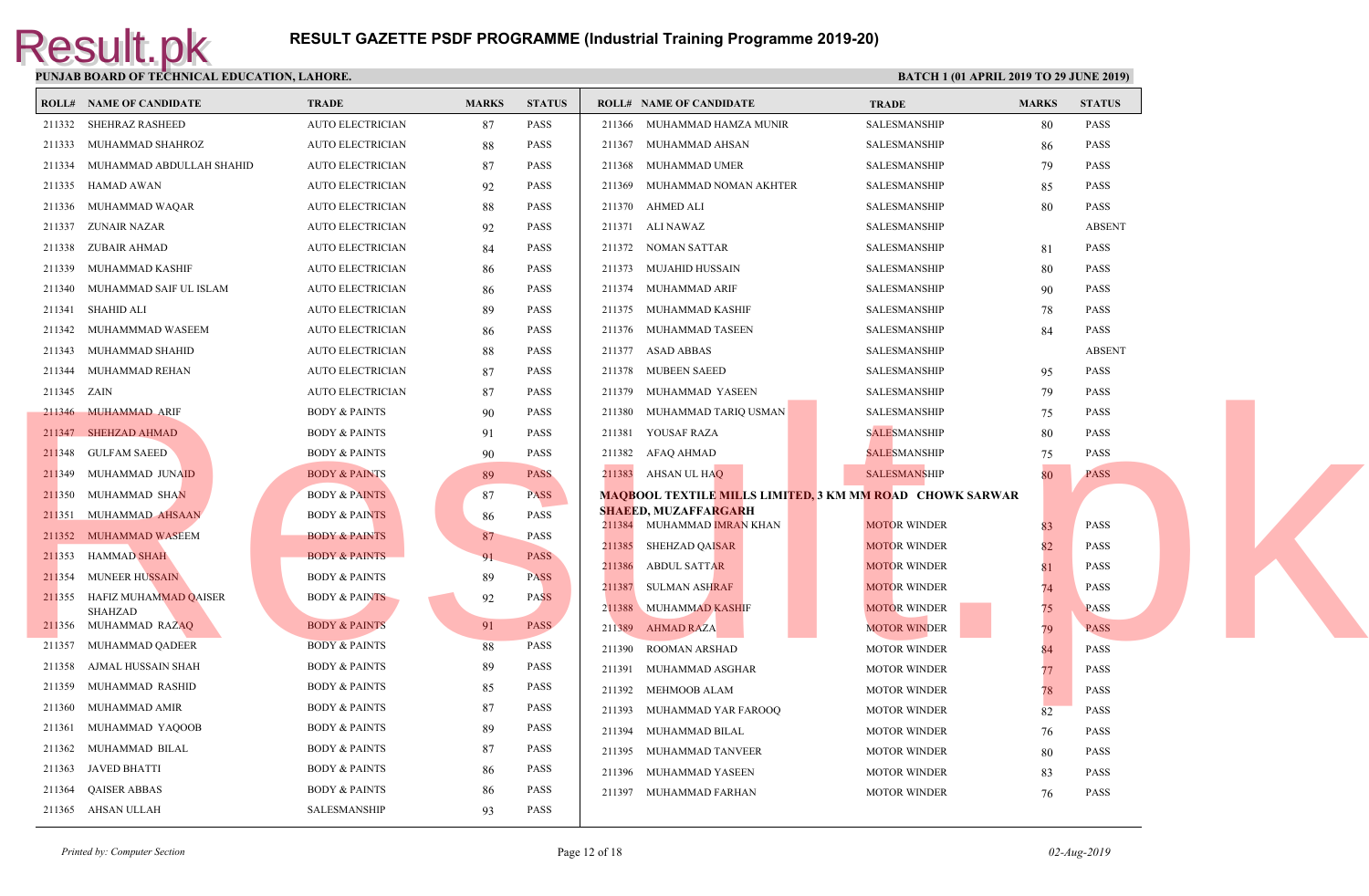|                  | <b>ROLL# NAME OF CANDIDATE</b>           | <b>TRADE</b>             | <b>MARKS</b> | <b>STATUS</b>              | <b>ROLL# NAME OF CANDIDATE</b>                    | <b>TRAL</b>  |
|------------------|------------------------------------------|--------------------------|--------------|----------------------------|---------------------------------------------------|--------------|
|                  | 211332 SHEHRAZ RASHEED                   | <b>AUTO ELECTRICIAN</b>  | 87           | <b>PASS</b>                | 211366<br>MUHAMMAD HAMZA MUNIR                    | <b>SALES</b> |
|                  | 211333 MUHAMMAD SHAHROZ                  | <b>AUTO ELECTRICIAN</b>  | 88           | <b>PASS</b>                | MUHAMMAD AHSAN<br>211367                          | <b>SALES</b> |
|                  | 211334 MUHAMMAD ABDULLAH SHAHID          | <b>AUTO ELECTRICIAN</b>  | 87           | <b>PASS</b>                | 211368 MUHAMMAD UMER                              | <b>SALES</b> |
|                  | 211335 HAMAD AWAN                        | <b>AUTO ELECTRICIAN</b>  | 92           | <b>PASS</b>                | 211369<br>MUHAMMAD NOMAN AKHTER                   | <b>SALES</b> |
|                  | 211336 MUHAMMAD WAQAR                    | <b>AUTO ELECTRICIAN</b>  | 88           | <b>PASS</b>                | 211370 AHMED ALI                                  | <b>SALES</b> |
| 211337           | ZUNAIR NAZAR                             | <b>AUTO ELECTRICIAN</b>  | 92           | <b>PASS</b>                | 211371 ALI NAWAZ                                  | <b>SALES</b> |
| 211338           | ZUBAIR AHMAD                             | <b>AUTO ELECTRICIAN</b>  | 84           | <b>PASS</b>                | 211372 NOMAN SATTAR                               | <b>SALES</b> |
| 211339           | MUHAMMAD KASHIF                          | <b>AUTO ELECTRICIAN</b>  | 86           | <b>PASS</b>                | 211373<br>MUJAHID HUSSAIN                         | <b>SALES</b> |
| 211340           | MUHAMMAD SAIF UL ISLAM                   | <b>AUTO ELECTRICIAN</b>  | 86           | <b>PASS</b>                | 211374<br>MUHAMMAD ARIF                           | <b>SALES</b> |
| 211341           | SHAHID ALI                               | <b>AUTO ELECTRICIAN</b>  | 89           | <b>PASS</b>                | 211375<br>MUHAMMAD KASHIF                         | <b>SALES</b> |
|                  | 211342 MUHAMMMAD WASEEM                  | <b>AUTO ELECTRICIAN</b>  | 86           | <b>PASS</b>                | 211376 MUHAMMAD TASEEN                            | <b>SALES</b> |
|                  | 211343 MUHAMMAD SHAHID                   | <b>AUTO ELECTRICIAN</b>  | 88           | <b>PASS</b>                | 211377<br>ASAD ABBAS                              | <b>SALES</b> |
|                  | 211344 MUHAMMAD REHAN                    | <b>AUTO ELECTRICIAN</b>  | 87           | <b>PASS</b>                | 211378 MUBEEN SAEED                               | <b>SALES</b> |
| 211345 ZAIN      |                                          | <b>AUTO ELECTRICIAN</b>  | 87           | <b>PASS</b>                | MUHAMMAD YASEEN<br>211379                         | <b>SALES</b> |
|                  | 211346 MUHAMMAD ARIF                     | <b>BODY &amp; PAINTS</b> | 90           | <b>PASS</b>                | MUHAMMAD TARIQ USMAN<br>211380                    | <b>SALES</b> |
|                  | 211347 SHEHZAD AHMAD                     | <b>BODY &amp; PAINTS</b> | 91           | <b>PASS</b>                | YOUSAF RAZA<br>211381                             | <b>SALES</b> |
|                  | 211348 GULFAM SAEED                      | <b>BODY &amp; PAINTS</b> | 90           | <b>PASS</b>                | 211382<br>AFAQ AHMAD                              | <b>SALES</b> |
|                  | 211349 MUHAMMAD JUNAID                   | <b>BODY &amp; PAINTS</b> | 89           | <b>PASS</b>                | 211383 AHSAN UL HAQ                               | <b>SALES</b> |
| 211350           | MUHAMMAD SHAN                            | <b>BODY &amp; PAINTS</b> | 87           | <b>PASS</b>                | <b>MAQBOOL TEXTILE MILLS LIMITED, 3 KM MM ROA</b> |              |
|                  | 211351 MUHAMMAD AHSAAN                   | <b>BODY &amp; PAINTS</b> | 86           | <b>PASS</b>                | <b>SHAEED, MUZAFFARGARH</b>                       |              |
|                  | 211352 MUHAMMAD WASEEM                   | <b>BODY &amp; PAINTS</b> | 87           | PASS                       | 211384 MUHAMMAD IMRAN KHAN                        | <b>MOTO</b>  |
|                  | 211353 HAMMAD SHAH                       | <b>BODY &amp; PAINTS</b> | 91           | <b>PASS</b>                | SHEHZAD QAI <mark>SAR</mark><br>211385            | <b>MOTO</b>  |
|                  | 211354 MUNEER HUSSAIN                    | <b>BODY &amp; PAINTS</b> | 89           | <b>PASS</b>                | 211386<br><b>ABDUL SATTAR</b>                     | <b>MOTO</b>  |
|                  | 211355 HAFIZ MUHAMMAD QAISER             | <b>BODY &amp; PAINTS</b> | 92           | <b>PASS</b>                | 211387<br>SULMAN ASHRAF                           | <b>MOTC</b>  |
|                  | <b>SHAHZAD</b>                           | <b>BODY &amp; PAINTS</b> |              | <b>PASS</b>                | <b>MUHAMMAD KASHIF</b><br>211388                  | <b>MOTO</b>  |
| 211357           | 211356 MUHAMMAD RAZAQ<br>MUHAMMAD QADEER | <b>BODY &amp; PAINTS</b> | 91<br>88     | <b>PASS</b>                | 211389 AHMAD RAZA                                 | <b>MOTO</b>  |
| 211358           | AJMAL HUSSAIN SHAH                       |                          |              | <b>PASS</b>                | <b>ROOMAN ARSHAD</b><br>211390                    | <b>MOTO</b>  |
|                  |                                          | <b>BODY &amp; PAINTS</b> | 89           |                            | 211391<br>MUHAMMAD ASGHAR                         | <b>MOTO</b>  |
| 211359<br>211360 | MUHAMMAD RASHID                          | <b>BODY &amp; PAINTS</b> | 85           | <b>PASS</b><br><b>PASS</b> | MEHMOOB ALAM<br>211392                            | <b>MOTO</b>  |
|                  | MUHAMMAD AMIR                            | <b>BODY &amp; PAINTS</b> | 87           |                            | 211393<br>MUHAMMAD YAR FAROOQ                     | <b>MOTO</b>  |
| 211361           | MUHAMMAD YAQOOB                          | <b>BODY &amp; PAINTS</b> | 89           | <b>PASS</b>                | 211394 MUHAMMAD BILAL                             | <b>MOTO</b>  |
| 211362           | MUHAMMAD BILAL                           | <b>BODY &amp; PAINTS</b> | 87           | <b>PASS</b>                | 211395<br>MUHAMMAD TANVEER                        | <b>MOTO</b>  |
| 211363           | JAVED BHATTI                             | <b>BODY &amp; PAINTS</b> | 86           | <b>PASS</b>                | MUHAMMAD YASEEN<br>211396                         | <b>MOTO</b>  |
| 211364           | <b>QAISER ABBAS</b>                      | <b>BODY &amp; PAINTS</b> | 86           | <b>PASS</b>                | 211397 MUHAMMAD FARHAN                            | <b>MOTO</b>  |
|                  | 211365 AHSAN ULLAH                       | SALESMANSHIP             | 93           | <b>PASS</b>                |                                                   |              |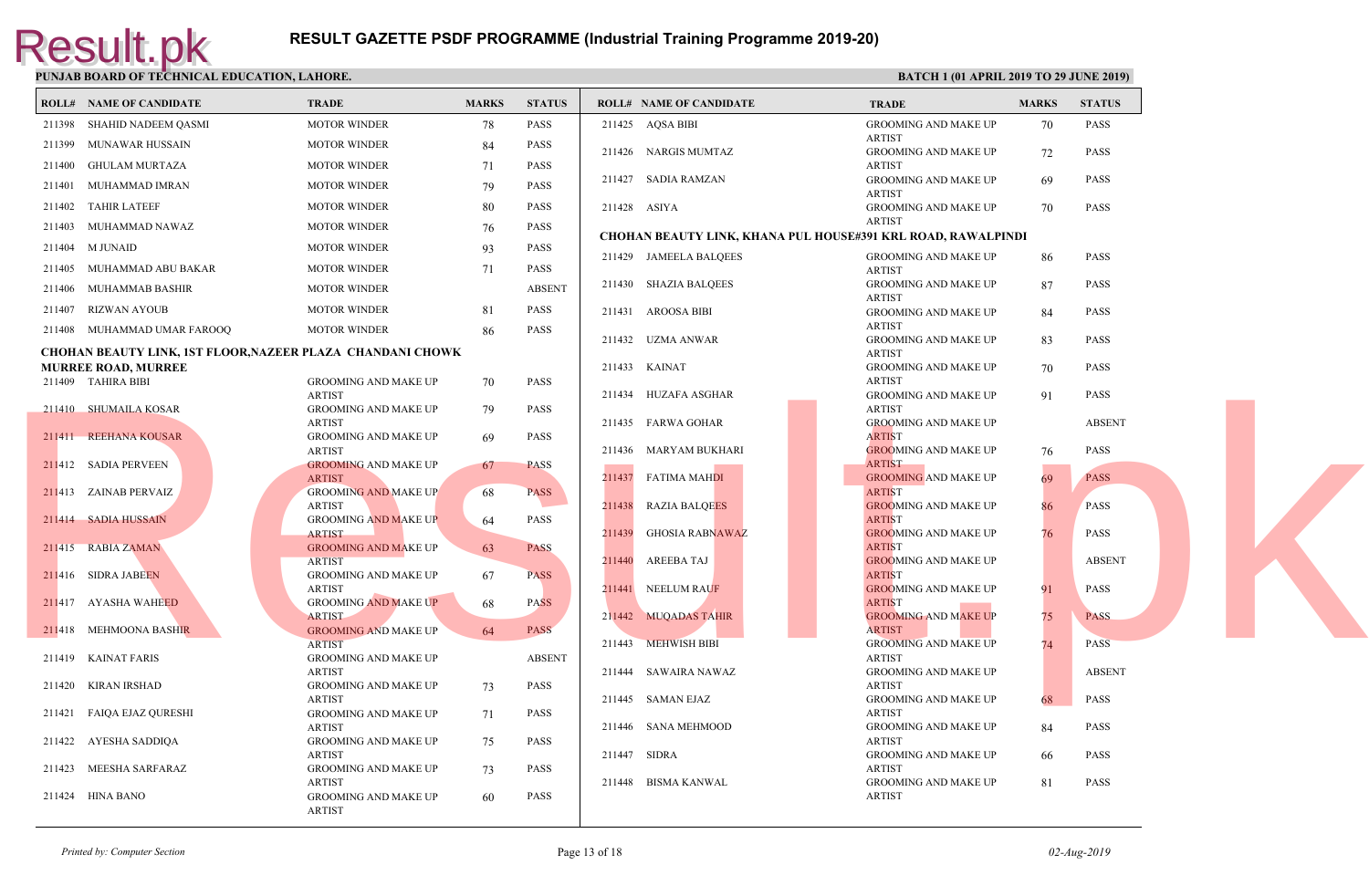|        | I chond bonne of Themache bbcentron, bimond                       |                                              |              |               |        |                                                   |                             |
|--------|-------------------------------------------------------------------|----------------------------------------------|--------------|---------------|--------|---------------------------------------------------|-----------------------------|
|        | <b>ROLL# NAME OF CANDIDATE</b>                                    | TRADE                                        | <b>MARKS</b> | <b>STATUS</b> |        | <b>ROLL# NAME OF CANDIDATE</b>                    | <b>TRAL</b>                 |
|        | 211398 SHAHID NADEEM QASMI                                        | <b>MOTOR WINDER</b>                          | 78           | PASS          |        | 211425 AQSA BIBI                                  | <b>GROO</b>                 |
|        | 211399 MUNAWAR HUSSAIN                                            | <b>MOTOR WINDER</b>                          | 84           | <b>PASS</b>   |        | 211426 NARGIS MUMTAZ                              | <b>ARTIS</b><br><b>GROO</b> |
| 211400 | <b>GHULAM MURTAZA</b>                                             | <b>MOTOR WINDER</b>                          | 71           | PASS          |        |                                                   | <b>ARTIS</b>                |
| 211401 | MUHAMMAD IMRAN                                                    | <b>MOTOR WINDER</b>                          | 79           | <b>PASS</b>   |        | 211427 SADIA RAMZAN                               | GROO                        |
| 211402 | <b>TAHIR LATEEF</b>                                               | <b>MOTOR WINDER</b>                          | 80           | <b>PASS</b>   |        | 211428 ASIYA                                      | <b>ARTIS</b><br>GROO        |
| 211403 | MUHAMMAD NAWAZ                                                    | <b>MOTOR WINDER</b>                          | 76           | <b>PASS</b>   |        |                                                   | <b>ARTIS</b>                |
|        | 211404 M JUNAID                                                   | <b>MOTOR WINDER</b>                          | 93           | <b>PASS</b>   |        | <b>CHOHAN BEAUTY LINK, KHANA PUL HOUSE#391 KR</b> |                             |
|        | 211405 MUHAMMAD ABU BAKAR                                         | <b>MOTOR WINDER</b>                          | 71           | <b>PASS</b>   |        | 211429 JAMEELA BALQEES                            | <b>GROO</b><br><b>ARTIS</b> |
|        | 211406 MUHAMMAB BASHIR                                            | <b>MOTOR WINDER</b>                          |              | <b>ABSENT</b> |        | 211430 SHAZIA BALQEES                             | <b>GROO</b>                 |
|        | 211407 RIZWAN AYOUB                                               | <b>MOTOR WINDER</b>                          | 81           | <b>PASS</b>   |        | 211431 AROOSA BIBI                                | <b>ARTIS</b><br>GROO        |
|        | 211408 MUHAMMAD UMAR FAROOQ                                       | <b>MOTOR WINDER</b>                          | 86           | <b>PASS</b>   |        |                                                   | <b>ARTIS</b>                |
|        | <b>CHOHAN BEAUTY LINK, 1ST FLOOR, NAZEER PLAZA CHANDANI CHOWK</b> |                                              |              |               |        | 211432 UZMA ANWAR                                 | <b>GROO</b><br><b>ARTIS</b> |
|        | <b>MURREE ROAD, MURREE</b>                                        |                                              |              |               |        | 211433 KAINAT                                     | <b>GROO</b>                 |
|        | 211409 TAHIRA BIBI                                                | <b>GROOMING AND MAKE UP</b><br><b>ARTIST</b> | 70           | PASS          |        | 211434 HUZAFA ASGHAR                              | <b>ARTIS</b><br>GROO        |
|        | 211410 SHUMAILA KOSAR                                             | <b>GROOMING AND MAKE UP</b>                  | 79           | <b>PASS</b>   |        |                                                   | <b>ARTIS</b>                |
|        | 211411 REEHANA KOUSAR                                             | <b>ARTIST</b><br><b>GROOMING AND MAKE UP</b> | 69           | PASS          |        | 211435 FARWA GOHAR                                | <b>GROO</b><br><b>ARTIS</b> |
|        |                                                                   | <b>ARTIST</b>                                |              |               |        | 211436 MARYAM BUKHARI                             | <b>GROO</b>                 |
|        | 211412 SADIA PERVEEN                                              | <b>GROOMING AND MAKE UP</b><br><b>ARTIST</b> | 67           | <b>PASS</b>   |        | 211437 FATIMA MAHDI                               | <b>ARTIS</b><br>GROO        |
|        | 211413 ZAINAB PERVAIZ                                             | <b>GROOMING AND MAKE UP</b>                  | 68           | <b>PASS</b>   |        |                                                   | <b>ARTIS</b>                |
|        | 211414 SADIA HUSSAIN                                              | <b>ARTIST</b><br><b>GROOMING AND MAKE UP</b> | 64           | PASS          |        | 211438 RAZIA BALQEES                              | <b>GROO</b><br><b>ARTIS</b> |
|        |                                                                   | <b>ARTIST</b>                                |              |               | 211439 | <b>GHOSIA RABNAWAZ</b>                            | <b>GROO</b>                 |
|        | 211415 RABIA ZAMAN                                                | <b>GROOMING AND MAKE UP</b><br><b>ARTIST</b> | 63           | <b>PASS</b>   | 211440 | AREEBA TAJ                                        | <b>ARTIS</b><br><b>GROO</b> |
|        | 211416 SIDRA JABEEN                                               | <b>GROOMING AND MAKE UP</b>                  | 67           | <b>PASS</b>   |        |                                                   | <b>ARTIS</b>                |
|        | 211417 AYASHA WAHEED                                              | <b>ARTIST</b><br><b>GROOMING AND MAKE UP</b> | 68           | <b>PASS</b>   |        | 211441 NEELUM RAUF                                | <b>GROO</b><br><b>ARTIS</b> |
|        |                                                                   | <b>ARTIST</b>                                |              |               |        | 211442 MUQADAS TAHIR                              | <b>GROO</b>                 |
| 211418 | MEHMOONA BASHIR                                                   | <b>GROOMING AND MAKE UP</b><br><b>ARTIST</b> | 64           | <b>PASS</b>   |        | 211443 MEHWISH BIBI                               | <b>ARTIS</b><br><b>GROO</b> |
|        | 211419 KAINAT FARIS                                               | <b>GROOMING AND MAKE UP</b>                  |              | <b>ABSENT</b> |        |                                                   | <b>ARTIS</b>                |
|        | 211420 KIRAN IRSHAD                                               | <b>ARTIST</b>                                |              | <b>PASS</b>   |        | 211444 SAWAIRA NAWAZ                              | GROO<br><b>ARTIS</b>        |
|        |                                                                   | <b>GROOMING AND MAKE UP</b><br><b>ARTIST</b> | 73           |               |        | 211445 SAMAN EJAZ                                 | GROO                        |
|        | 211421 FAIQA EJAZ QURESHI                                         | <b>GROOMING AND MAKE UP</b>                  | 71           | PASS          |        |                                                   | <b>ARTIS</b><br><b>GROO</b> |
|        | 211422 AYESHA SADDIQA                                             | ARTIST<br><b>GROOMING AND MAKE UP</b>        | 75           | PASS          |        | 211446 SANA MEHMOOD                               | <b>ARTIS</b>                |
|        |                                                                   | <b>ARTIST</b>                                |              |               |        | 211447 SIDRA                                      | GROO                        |
|        | 211423 MEESHA SARFARAZ                                            | <b>GROOMING AND MAKE UP</b><br><b>ARTIST</b> | 73           | <b>PASS</b>   |        | 211448 BISMA KANWAL                               | <b>ARTIS</b><br><b>GROO</b> |
|        | 211424 HINA BANO                                                  | <b>GROOMING AND MAKE UP</b><br><b>ARTIST</b> | 60           | <b>PASS</b>   |        |                                                   | <b>ARTIS</b>                |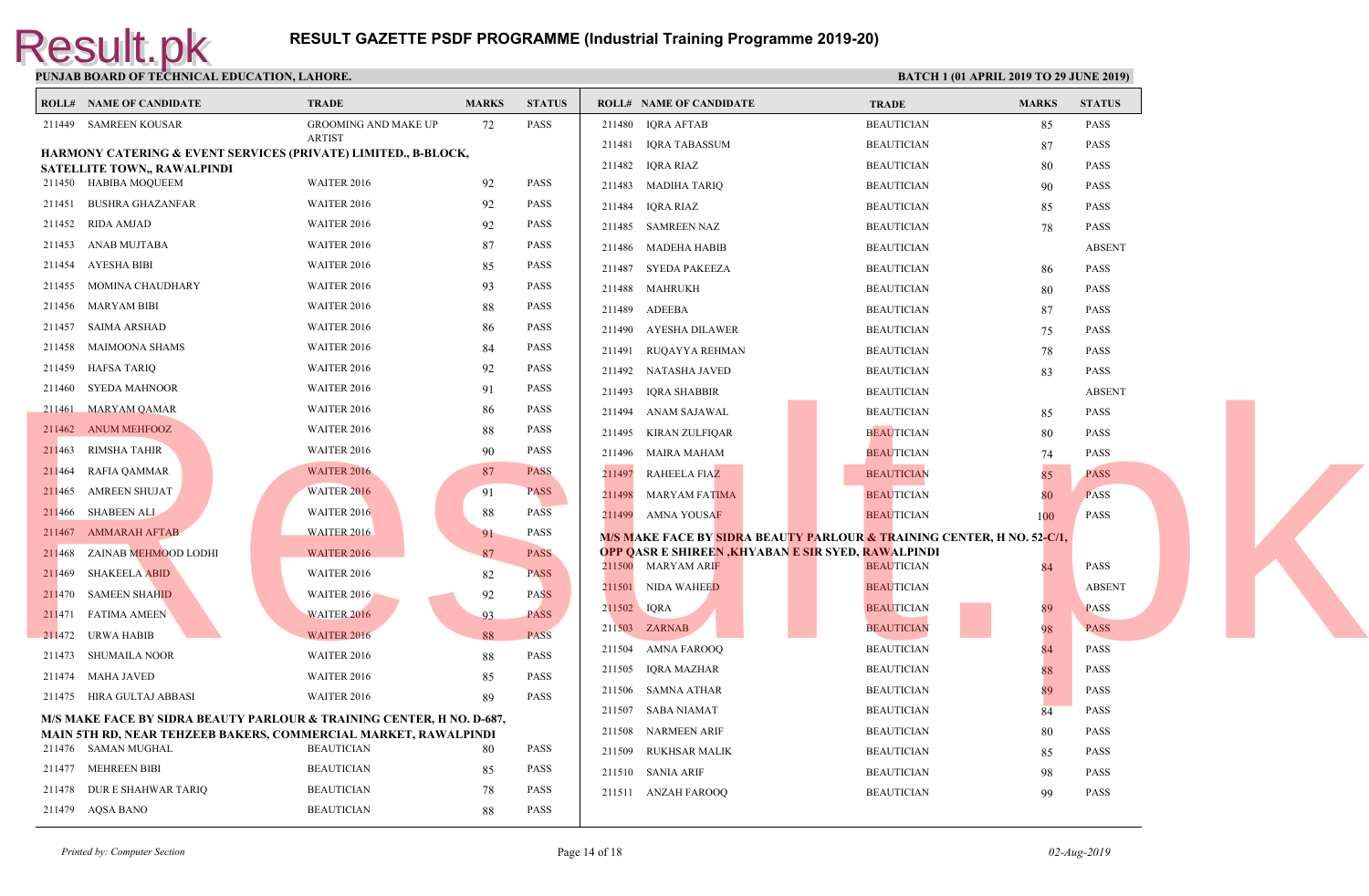| <b>ROLL# NAME OF CANDIDATE</b>     | <b>TRADE</b>                                                                    | <b>MARKS</b> | <b>STATUS</b> |             | <b>ROLL# NAME OF CANDIDATE</b>                        | <b>TRAL</b> |
|------------------------------------|---------------------------------------------------------------------------------|--------------|---------------|-------------|-------------------------------------------------------|-------------|
| 211449 SAMREEN KOUSAR              | <b>GROOMING AND MAKE UP</b>                                                     | 72           | <b>PASS</b>   |             | 211480 IQRA AFTAB                                     | <b>BEAU</b> |
|                                    | <b>ARTIST</b><br>HARMONY CATERING & EVENT SERVICES (PRIVATE) LIMITED., B-BLOCK, |              |               |             | 211481 IQRA TABASSUM                                  | <b>BEAU</b> |
| <b>SATELLITE TOWN., RAWALPINDI</b> |                                                                                 |              |               |             | 211482 IQRA RIAZ                                      | <b>BEAU</b> |
| 211450 HABIBA MOQUEEM              | <b>WAITER 2016</b>                                                              | 92           | <b>PASS</b>   |             | 211483 MADIHA TARIQ                                   | <b>BEAU</b> |
| 211451 BUSHRA GHAZANFAR            | <b>WAITER 2016</b>                                                              | 92           | <b>PASS</b>   |             | 211484 IQRA RIAZ                                      | <b>BEAU</b> |
| 211452 RIDA AMJAD                  | <b>WAITER 2016</b>                                                              | 92           | <b>PASS</b>   |             | 211485 SAMREEN NAZ                                    | <b>BEAU</b> |
| 211453 ANAB MUJTABA                | <b>WAITER 2016</b>                                                              | 87           | <b>PASS</b>   |             | 211486 MADEHA HABIB                                   | <b>BEAU</b> |
| 211454 AYESHA BIBI                 | <b>WAITER 2016</b>                                                              | 85           | <b>PASS</b>   | 211487      | SYEDA PAKEEZA                                         | <b>BEAU</b> |
| 211455 MOMINA CHAUDHARY            | <b>WAITER 2016</b>                                                              | 93           | <b>PASS</b>   | 211488      | MAHRUKH                                               | <b>BEAU</b> |
| 211456 MARYAM BIBI                 | <b>WAITER 2016</b>                                                              | 88           | <b>PASS</b>   | 211489      | ADEEBA                                                | <b>BEAU</b> |
| 211457 SAIMA ARSHAD                | <b>WAITER 2016</b>                                                              | 86           | <b>PASS</b>   | 211490      | AYESHA DILAWER                                        | <b>BEAU</b> |
| 211458 MAIMOONA SHAMS              | <b>WAITER 2016</b>                                                              | 84           | <b>PASS</b>   |             | 211491 RUQAYYA REHMAN                                 | <b>BEAU</b> |
| 211459<br>HAFSA TARIQ              | <b>WAITER 2016</b>                                                              | 92           | <b>PASS</b>   |             | 211492 NATASHA JAVED                                  | <b>BEAU</b> |
| SYEDA MAHNOOR<br>211460            | WAITER 2016                                                                     | 91           | <b>PASS</b>   |             | 211493 IQRA SHABBIR                                   | <b>BEAU</b> |
| 211461 MARYAM QAMAR                | <b>WAITER 2016</b>                                                              | 86           | <b>PASS</b>   |             | 211494 ANAM SAJAWAL                                   | <b>BEAU</b> |
| 211462 ANUM MEHFOOZ                | <b>WAITER 2016</b>                                                              | 88           | <b>PASS</b>   |             | 211495 KIRAN ZULFIQAR                                 | <b>BEAU</b> |
| 211463 RIMSHA TAHIR                | <b>WAITER 2016</b>                                                              | 90           | <b>PASS</b>   |             | 211496 MAIRA MAHAM                                    | <b>BEAU</b> |
| 211464 RAFIA QAMMAR                | <b>WAITER 2016</b>                                                              | 87           | <b>PASS</b>   | 211497      | RAHEELA FIAZ                                          | <b>BEAU</b> |
| 211465 AMREEN SHUJAT               | <b>WAITER 2016</b>                                                              | 91           | <b>PASS</b>   | 211498      | <b>MARYAM FATIMA</b>                                  | <b>BEAU</b> |
| 211466 SHABEEN ALI                 | <b>WAITER 2016</b>                                                              | 88           | <b>PASS</b>   |             | 211499 AMNA YOUSAF                                    | <b>BEAU</b> |
| 211467 AMMARAH AFTAB               | <b>WAITER 2016</b>                                                              | 91           | PASS          |             | <b>M/S MAKE FACE BY SIDRA BEAUTY PARLOUR &amp; TR</b> |             |
| 211468 ZAINAB MEHMOOD LODHI        | <b>WAITER 2016</b>                                                              | 87           | <b>PASS</b>   |             | <b>OPP QASR E SHIREEN ,KHYABAN E SIR SYED, RAWA</b>   |             |
| 211469<br><b>SHAKEELA ABID</b>     | <b>WAITER 2016</b>                                                              | 82           | <b>PASS</b>   |             | 211500 MARYAM ARIF                                    | <b>BEAU</b> |
| 211470 SAMEEN SHAHID               | <b>WAITER 2016</b>                                                              | 92           | <b>PASS</b>   |             | 211501 NIDA WAHEED                                    | <b>BEAU</b> |
| 211471 FATIMA AMEEN                | <b>WAITER 2016</b>                                                              | 93           | <b>PASS</b>   | 211502 IQRA |                                                       | <b>BEAU</b> |
| 211472 URWA HABIB                  | WAITER 2016                                                                     | 88           | <b>PASS</b>   |             | 211503 ZARNAB                                         | <b>BEAU</b> |
| 211473 SHUMAILA NOOR               | <b>WAITER 2016</b>                                                              | 88           | <b>PASS</b>   |             | 211504 AMNA FAROOQ                                    | <b>BEAU</b> |
| 211474 MAHA JAVED                  | <b>WAITER 2016</b>                                                              | 85           | <b>PASS</b>   |             | 211505 IQRA MAZHAR                                    | <b>BEAU</b> |
| 211475 HIRA GULTAJ ABBASI          | <b>WAITER 2016</b>                                                              | 89           | <b>PASS</b>   | 211506      | SAMNA ATHAR                                           | <b>BEAU</b> |
|                                    | M/S MAKE FACE BY SIDRA BEAUTY PARLOUR & TRAINING CENTER, H NO. D-687,           |              |               |             | 211507 SABA NIAMAT                                    | <b>BEAU</b> |
|                                    | MAIN 5TH RD, NEAR TEHZEEB BAKERS, COMMERCIAL MARKET, RAWALPINDI                 |              |               | 211508      | NARMEEN ARIF                                          | <b>BEAU</b> |
| 211476 SAMAN MUGHAL                | <b>BEAUTICIAN</b>                                                               | 80           | <b>PASS</b>   | 211509      | RUKHSAR MALIK                                         | <b>BEAU</b> |
| 211477 MEHREEN BIBI                | <b>BEAUTICIAN</b>                                                               | 85           | <b>PASS</b>   |             | 211510 SANIA ARIF                                     | <b>BEAU</b> |
| 211478 DUR E SHAHWAR TARIQ         | <b>BEAUTICIAN</b>                                                               | 78           | <b>PASS</b>   |             | 211511 ANZAH FAROOQ                                   | <b>BEAU</b> |
| 211479 AQSA BANO                   | <b>BEAUTICIAN</b>                                                               | 88           | <b>PASS</b>   |             |                                                       |             |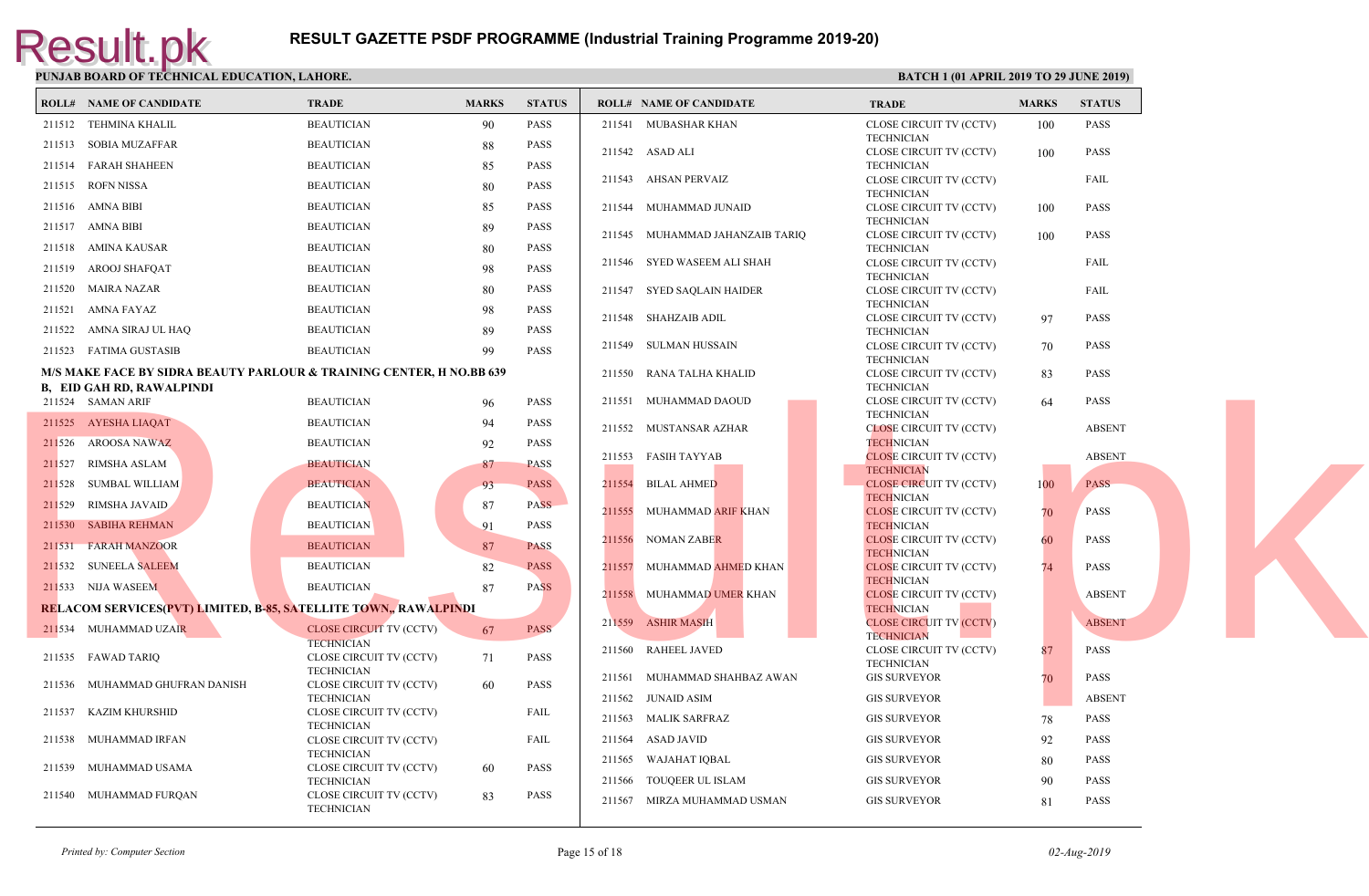|        | <b>ROLL# NAME OF CANDIDATE</b>                                          | <b>TRADE</b>                                 | <b>MARKS</b> | <b>STATUS</b> |        | <b>ROLL# NAME OF CANDIDATE</b>  | <b>TRAL</b>                  |
|--------|-------------------------------------------------------------------------|----------------------------------------------|--------------|---------------|--------|---------------------------------|------------------------------|
|        | 211512 TEHMINA KHALIL                                                   | <b>BEAUTICIAN</b>                            | 90           | <b>PASS</b>   |        | 211541 MUBASHAR KHAN            | <b>CLOSE</b>                 |
|        | 211513 SOBIA MUZAFFAR                                                   | <b>BEAUTICIAN</b>                            | 88           | PASS          |        |                                 | <b>TECHN</b><br><b>CLOSE</b> |
|        | 211514 FARAH SHAHEEN                                                    | <b>BEAUTICIAN</b>                            | 85           | <b>PASS</b>   |        | 211542 ASAD ALI                 | <b>TECHI</b>                 |
|        | 211515 ROFN NISSA                                                       | <b>BEAUTICIAN</b>                            | 80           | <b>PASS</b>   |        | 211543 AHSAN PERVAIZ            | <b>CLOSE</b>                 |
|        | 211516 AMNA BIBI                                                        | <b>BEAUTICIAN</b>                            | 85           | <b>PASS</b>   |        | 211544 MUHAMMAD JUNAID          | <b>TECHI</b><br><b>CLOSE</b> |
|        | 211517 AMNA BIBI                                                        | <b>BEAUTICIAN</b>                            | 89           | <b>PASS</b>   |        |                                 | <b>TECHN</b>                 |
|        |                                                                         | <b>BEAUTICIAN</b>                            |              | <b>PASS</b>   |        | 211545 MUHAMMAD JAHANZAIB TARIQ | <b>CLOSE</b>                 |
|        | 211518 AMINA KAUSAR                                                     |                                              | 80           |               |        | 211546 SYED WASEEM ALI SHAH     | <b>TECHI</b><br><b>CLOSE</b> |
|        | 211519 AROOJ SHAFQAT                                                    | <b>BEAUTICIAN</b>                            | 98           | <b>PASS</b>   |        |                                 | <b>TECHN</b>                 |
|        | 211520 MAIRA NAZAR                                                      | <b>BEAUTICIAN</b>                            | 80           | <b>PASS</b>   |        | 211547 SYED SAQLAIN HAIDER      | <b>CLOSE</b><br><b>TECHN</b> |
|        | 211521 AMNA FAYAZ                                                       | <b>BEAUTICIAN</b>                            | 98           | <b>PASS</b>   |        | 211548 SHAHZAIB ADIL            | <b>CLOSE</b>                 |
|        | 211522 AMNA SIRAJ UL HAQ                                                | <b>BEAUTICIAN</b>                            | 89           | <b>PASS</b>   |        |                                 | <b>TECHN</b>                 |
|        | 211523 FATIMA GUSTASIB                                                  | <b>BEAUTICIAN</b>                            | 99           | <b>PASS</b>   |        | 211549 SULMAN HUSSAIN           | <b>CLOSE</b><br><b>TECHN</b> |
|        | M/S MAKE FACE BY SIDRA BEAUTY PARLOUR & TRAINING CENTER, H NO.BB 639    |                                              |              |               |        | 211550 RANA TALHA KHALID        | <b>CLOSE</b>                 |
|        | <b>B, EID GAH RD, RAWALPINDI</b><br>211524 SAMAN ARIF                   | <b>BEAUTICIAN</b>                            | 96           | <b>PASS</b>   |        | 211551 MUHAMMAD DAOUD           | <b>TECHN</b><br><b>CLOSE</b> |
|        | 211525 AYESHA LIAQAT                                                    | <b>BEAUTICIAN</b>                            | 94           | <b>PASS</b>   |        |                                 | <b>TECHI</b>                 |
|        | 211526 AROOSA NAWAZ                                                     | <b>BEAUTICIAN</b>                            |              | <b>PASS</b>   |        | 211552 MUSTANSAR AZHAR          | <b>CLOSI</b><br><b>TECHI</b> |
|        |                                                                         |                                              | 92           |               |        | 211553 FASIH TAYYAB             | <b>CLOSE</b>                 |
|        | 211527 RIMSHA ASLAM                                                     | <b>BEAUTICIAN</b>                            | 87           | <b>PASS</b>   |        |                                 | <b>TECHI</b>                 |
|        | 211528 SUMBAL WILLIAM                                                   | <b>BEAUTICIAN</b>                            | 93           | <b>PASS</b>   |        | 211554 BILAL AHMED              | <b>CLOSE</b><br><b>TECHI</b> |
|        | 211529 RIMSHA JAVAID                                                    | <b>BEAUTICIAN</b>                            | 87           | <b>PASS</b>   |        | 211555 MUHAMMAD ARIF KHAN       | <b>CLOSI</b>                 |
|        | 211530 SABIHA REHMAN                                                    | <b>BEAUTICIAN</b>                            | 91           | <b>PASS</b>   |        |                                 | <b>TECHI</b><br><b>CLOSE</b> |
|        | 211531 FARAH MANZOOR                                                    | <b>BEAUTICIAN</b>                            | 87           | <b>PASS</b>   |        | 211556 NOMAN ZABER              | <b>TECHI</b>                 |
|        | 211532 SUNEELA SALEEM                                                   | <b>BEAUTICIAN</b>                            | 82           | <b>PASS</b>   |        | 211557 MUHAMMAD AHMED KHAN      | <b>CLOSE</b>                 |
|        | 211533 NIJA WASEEM                                                      | <b>BEAUTICIAN</b>                            | 87           | <b>PASS</b>   |        | 211558 MUHAMMAD UMER KHAN       | <b>TECHI</b><br><b>CLOSE</b> |
|        | <b>RELACOM SERVICES(PVT) LIMITED, B-85, SATELLITE TOWN,, RAWALPINDI</b> |                                              |              |               |        |                                 | <b>TECHI</b>                 |
|        | 211534 MUHAMMAD UZAIR                                                   | <b>CLOSE CIRCUIT TV (CCTV)</b>               | 67           | <b>PASS</b>   |        | 211559 ASHIR MASIH              | <b>CLOSE</b><br><b>TECHI</b> |
|        |                                                                         | <b>TECHNICIAN</b>                            |              |               |        | 211560 RAHEEL JAVED             | <b>CLOSE</b>                 |
|        | 211535 FAWAD TARIQ                                                      | CLOSE CIRCUIT TV (CCTV)<br><b>TECHNICIAN</b> | 71           | PASS          |        |                                 | <b>TECHI</b>                 |
|        | 211536 MUHAMMAD GHUFRAN DANISH                                          | CLOSE CIRCUIT TV (CCTV)                      | -60          | <b>PASS</b>   |        | 211561 MUHAMMAD SHAHBAZ AWAN    | <b>GIS SU</b>                |
|        | 211537 KAZIM KHURSHID                                                   | <b>TECHNICIAN</b><br>CLOSE CIRCUIT TV (CCTV) |              | FAIL          |        | 211562 JUNAID ASIM              | <b>GIS SU</b>                |
|        |                                                                         | <b>TECHNICIAN</b>                            |              |               |        | 211563 MALIK SARFRAZ            | <b>GIS SU</b>                |
| 211538 | MUHAMMAD IRFAN                                                          | CLOSE CIRCUIT TV (CCTV)                      |              | FAIL          | 211564 | ASAD JAVID                      | <b>GIS SU</b>                |
|        | 211539 MUHAMMAD USAMA                                                   | <b>TECHNICIAN</b><br>CLOSE CIRCUIT TV (CCTV) | -60          | PASS          | 211565 | WAJAHAT IQBAL                   | <b>GIS SU</b>                |
|        |                                                                         | <b>TECHNICIAN</b>                            |              |               | 211566 | TOUQEER UL ISLAM                | <b>GIS SU</b>                |
|        | 211540 MUHAMMAD FURQAN                                                  | CLOSE CIRCUIT TV (CCTV)<br><b>TECHNICIAN</b> | 83           | <b>PASS</b>   |        | 211567 MIRZA MUHAMMAD USMAN     | <b>GIS SU</b>                |
|        |                                                                         |                                              |              |               |        |                                 |                              |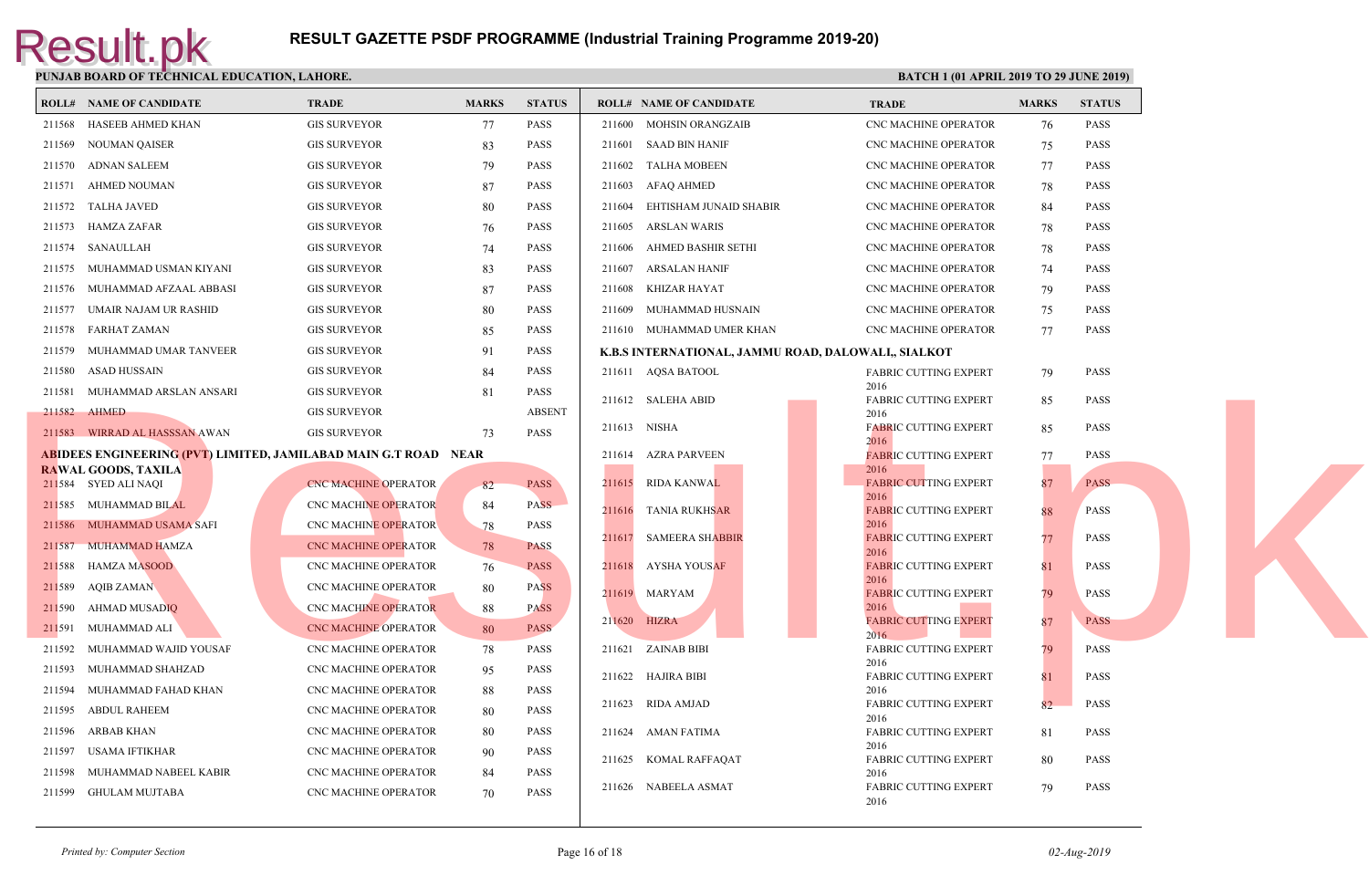|        | <b>ROLL# NAME OF CANDIDATE</b> | <b>TRADE</b>                                                           | <b>MARKS</b> | <b>STATUS</b> |        | <b>ROLL# NAME OF CANDIDATE</b>              | <b>TRAL</b>          |
|--------|--------------------------------|------------------------------------------------------------------------|--------------|---------------|--------|---------------------------------------------|----------------------|
| 211568 | HASEEB AHMED KHAN              | <b>GIS SURVEYOR</b>                                                    | 77           | PASS          |        | 211600 MOHSIN ORANGZAIB                     | CNC <sub>N</sub>     |
| 211569 | NOUMAN QAISER                  | <b>GIS SURVEYOR</b>                                                    | 83           | <b>PASS</b>   |        | 211601 SAAD BIN HANIF                       | CNC <sub>N</sub>     |
| 211570 | ADNAN SALEEM                   | <b>GIS SURVEYOR</b>                                                    | 79           | PASS          |        | 211602 TALHA MOBEEN                         | CNC <sub>N</sub>     |
| 211571 | AHMED NOUMAN                   | <b>GIS SURVEYOR</b>                                                    | 87           | <b>PASS</b>   |        | 211603 AFAQ AHMED                           | CNC <sub>N</sub>     |
|        | 211572 TALHA JAVED             | <b>GIS SURVEYOR</b>                                                    | 80           | <b>PASS</b>   | 211604 | EHTISHAM JUNAID SHABIR                      | CNC <sub>N</sub>     |
|        | 211573 HAMZA ZAFAR             | <b>GIS SURVEYOR</b>                                                    | 76           | <b>PASS</b>   | 211605 | ARSLAN WARIS                                | CNC <sub>N</sub>     |
|        | 211574 SANAULLAH               | <b>GIS SURVEYOR</b>                                                    | 74           | <b>PASS</b>   | 211606 | AHMED BASHIR SETHI                          | CNC <sub>N</sub>     |
|        | 211575 MUHAMMAD USMAN KIYANI   | <b>GIS SURVEYOR</b>                                                    | 83           | <b>PASS</b>   | 211607 | ARSALAN HANIF                               | CNC <sub>N</sub>     |
|        | 211576 MUHAMMAD AFZAAL ABBASI  | <b>GIS SURVEYOR</b>                                                    | 87           | <b>PASS</b>   | 211608 | KHIZAR HAYAT                                | CNC <sub>N</sub>     |
| 211577 | UMAIR NAJAM UR RASHID          | <b>GIS SURVEYOR</b>                                                    | 80           | PASS          | 211609 | MUHAMMAD HUSNAIN                            | CNC <sub>N</sub>     |
|        | 211578 FARHAT ZAMAN            | <b>GIS SURVEYOR</b>                                                    | 85           | <b>PASS</b>   |        | 211610 MUHAMMAD UMER KHAN                   | CNC <sub>N</sub>     |
| 211579 | MUHAMMAD UMAR TANVEER          | <b>GIS SURVEYOR</b>                                                    | 91           | <b>PASS</b>   |        | K.B.S INTERNATIONAL, JAMMU ROAD, DALOWALI,, |                      |
| 211580 | ASAD HUSSAIN                   | <b>GIS SURVEYOR</b>                                                    | 84           | <b>PASS</b>   |        | 211611 AQSA BATOOL                          | <b>FABRI</b>         |
| 211581 | MUHAMMAD ARSLAN ANSARI         | <b>GIS SURVEYOR</b>                                                    | 81           | <b>PASS</b>   |        | 211612 SALEHA ABID                          | 2016<br><b>FABRI</b> |
|        | 211582 AHMED                   | <b>GIS SURVEYOR</b>                                                    |              | <b>ABSENT</b> |        |                                             | 2016                 |
|        | 211583 WIRRAD AL HASSSAN AWAN  | <b>GIS SURVEYOR</b>                                                    | 73           | <b>PASS</b>   |        | 211613 NISHA                                | <b>FABRI</b><br>2016 |
|        |                                | <b>ABIDEES ENGINEERING (PVT) LIMITED, JAMILABAD MAIN G.T ROAD NEAR</b> |              |               |        | 211614 AZRA PARVEEN                         | <b>FABRI</b>         |
|        | <b>RAWAL GOODS, TAXILA</b>     |                                                                        |              |               |        | 211615 RIDA KANWAL                          | 2016<br><b>FABRI</b> |
|        | 211584 SYED ALI NAOI           | <b>CNC MACHINE OPERATOR</b>                                            | 82           | <b>PASS</b>   |        |                                             | 2016                 |
|        | 211585 MUHAMMAD BILAL          | <b>CNC MACHINE OPERATOR</b>                                            | 84           | <b>PASS</b>   | 211616 | <b>TANIA RUKHSAR</b>                        | <b>FABRI</b><br>2016 |
|        | 211586 MUHAMMAD USAMA SAFI     | <b>CNC MACHINE OPERATOR</b>                                            | -78          | PASS          |        | 211617 SAMEERA SHABBIR                      | <b>FABRI</b>         |
| 211587 | <b>MUHAMMAD HAMZA</b>          | <b>CNC MACHINE OPERATOR</b>                                            | 78           | <b>PASS</b>   |        |                                             | 2016                 |
| 211588 | <b>HAMZA MASOOD</b>            | CNC MACHINE OPERATOR                                                   | 76           | <b>PASS</b>   |        | 211618 AYSHA YOUSAF                         | <b>FABRI</b><br>2016 |
|        | 211589 AQIB ZAMAN              | <b>CNC MACHINE OPERATOR</b>                                            | 80           | <b>PASS</b>   |        | 211619 MARYAM                               | <b>FABRI</b>         |
| 211590 | AHMAD MUSADIQ                  | CNC MACHINE OPERATOR                                                   | 88           | <b>PASS</b>   |        | 211620 HIZRA                                | 2016<br><b>FABRI</b> |
| 211591 | MUHAMMAD ALI                   | CNC MACHINE OPERATOR                                                   | 80           | <b>PASS</b>   |        |                                             | 2016                 |
|        | 211592 MUHAMMAD WAJID YOUSAF   | <b>CNC MACHINE OPERATOR</b>                                            | 78           | <b>PASS</b>   |        | 211621 ZAINAB BIBI                          | FABRI<br>2016        |
|        | 211593 MUHAMMAD SHAHZAD        | <b>CNC MACHINE OPERATOR</b>                                            | 95           | <b>PASS</b>   |        | 211622 HAJIRA BIBI                          | FABRI                |
|        | 211594 MUHAMMAD FAHAD KHAN     | CNC MACHINE OPERATOR                                                   | 88           | <b>PASS</b>   |        | 211623 RIDA AMJAD                           | 2016<br><b>FABRI</b> |
| 211595 | <b>ABDUL RAHEEM</b>            | CNC MACHINE OPERATOR                                                   | 80           | <b>PASS</b>   |        |                                             | 2016                 |
| 211596 | ARBAB KHAN                     | CNC MACHINE OPERATOR                                                   | 80           | <b>PASS</b>   |        | 211624 AMAN FATIMA                          | <b>FABRI</b><br>2016 |
|        | 211597 USAMA IFTIKHAR          | <b>CNC MACHINE OPERATOR</b>                                            | 90           | <b>PASS</b>   |        | 211625 KOMAL RAFFAQAT                       | FABRI                |
| 211598 | MUHAMMAD NABEEL KABIR          | CNC MACHINE OPERATOR                                                   | 84           | <b>PASS</b>   |        | 211626 NABEELA ASMAT                        | 2016<br><b>FABRI</b> |
|        | 211599 GHULAM MUJTABA          | <b>CNC MACHINE OPERATOR</b>                                            | 70           | <b>PASS</b>   |        |                                             | 2016                 |
|        |                                |                                                                        |              |               |        |                                             |                      |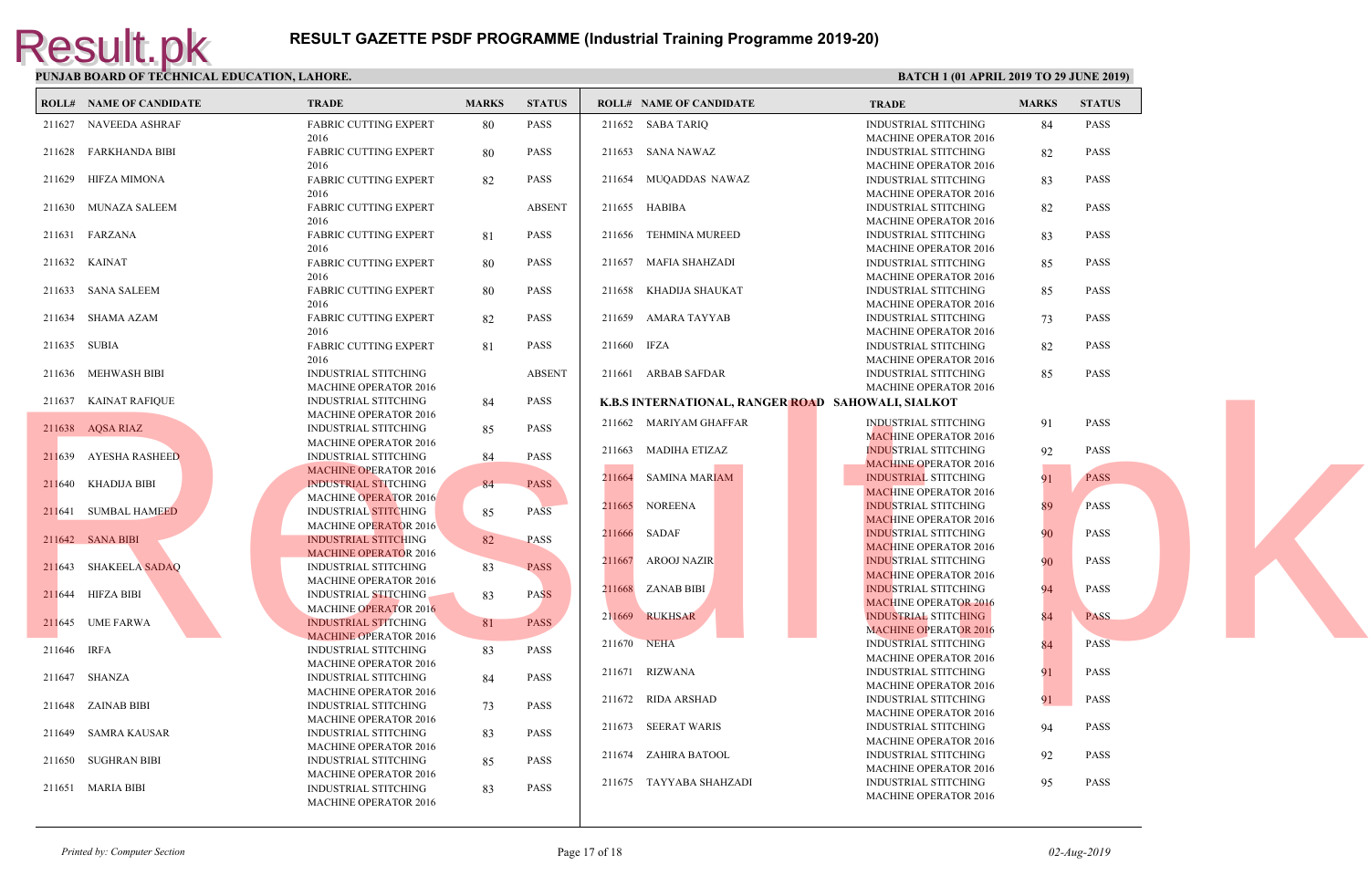| <b>ROLL# NAME OF CANDIDATE</b> | <b>TRADE</b>                 | <b>MARKS</b> | <b>STATUS</b> |             | <b>ROLL# NAME OF CANDIDATE</b>           | <b>TRAD</b>  |
|--------------------------------|------------------------------|--------------|---------------|-------------|------------------------------------------|--------------|
| 211627 NAVEEDA ASHRAF          | <b>FABRIC CUTTING EXPERT</b> | 80           | <b>PASS</b>   |             | 211652 SABA TARIQ                        | <b>INDUS</b> |
|                                | 2016                         |              |               |             |                                          | MACH         |
| 211628 FARKHANDA BIBI          | <b>FABRIC CUTTING EXPERT</b> | -80          | <b>PASS</b>   |             | 211653 SANA NAWAZ                        | <b>INDUS</b> |
|                                | 2016                         |              |               |             |                                          | <b>MACH</b>  |
| 211629 HIFZA MIMONA            | <b>FABRIC CUTTING EXPERT</b> | 82           | <b>PASS</b>   |             | 211654 MUQADDAS NAWAZ                    | <b>INDUS</b> |
|                                | 2016                         |              |               |             |                                          | <b>MACH</b>  |
| 211630 MUNAZA SALEEM           | <b>FABRIC CUTTING EXPERT</b> |              | <b>ABSENT</b> |             | 211655 HABIBA                            | <b>INDUS</b> |
|                                | 2016                         |              |               |             |                                          | MACH         |
| 211631 FARZANA                 | <b>FABRIC CUTTING EXPERT</b> | 81           | PASS          |             | 211656 TEHMINA MUREED                    | <b>INDUS</b> |
|                                | 2016                         |              |               |             |                                          | <b>MACH</b>  |
| 211632 KAINAT                  | <b>FABRIC CUTTING EXPERT</b> | 80           | PASS          |             | 211657 MAFIA SHAHZADI                    | <b>INDUS</b> |
|                                | 2016                         |              |               |             |                                          | <b>MACH</b>  |
| 211633 SANA SALEEM             | <b>FABRIC CUTTING EXPERT</b> | 80           | <b>PASS</b>   |             | 211658 KHADIJA SHAUKAT                   | <b>INDUS</b> |
|                                | 2016                         |              |               |             |                                          | MACH         |
| 211634 SHAMA AZAM              | <b>FABRIC CUTTING EXPERT</b> | 82           | <b>PASS</b>   |             | 211659 AMARA TAYYAB                      | <b>INDUS</b> |
|                                | 2016                         |              |               |             |                                          | <b>MACH</b>  |
| 211635 SUBIA                   | FABRIC CUTTING EXPERT        | 81           | <b>PASS</b>   | 211660 IFZA |                                          | <b>INDUS</b> |
|                                | 2016                         |              |               |             |                                          | <b>MACH</b>  |
| 211636 MEHWASH BIBI            | <b>INDUSTRIAL STITCHING</b>  |              | <b>ABSENT</b> |             | 211661 ARBAB SAFDAR                      | <b>INDUS</b> |
|                                | <b>MACHINE OPERATOR 2016</b> |              |               |             |                                          | MACH         |
| 211637 KAINAT RAFIQUE          | <b>INDUSTRIAL STITCHING</b>  | -84          | <b>PASS</b>   |             | K.B.S INTERNATIONAL, RANGER ROAD SAHOWAL |              |
|                                | <b>MACHINE OPERATOR 2016</b> |              |               |             | 211662 MARIYAM GHAFFAR                   | <b>INDUS</b> |
| 211638 AQSA RIAZ               | INDUSTRIAL STITCHING         | 85           | <b>PASS</b>   |             |                                          | <b>MACF</b>  |
|                                | <b>MACHINE OPERATOR 2016</b> |              |               |             | 211663 MADIHA ETIZAZ                     | <b>INDUS</b> |
| 211639 AYESHA RASHEED          | <b>INDUSTRIAL STITCHING</b>  | 84           | PASS          |             |                                          | <b>MACE</b>  |
|                                | <b>MACHINE OPERATOR 2016</b> |              |               |             | 211664 SAMINA MARIAM                     | <b>INDUS</b> |
| 211640 KHADIJA BIBI            | <b>INDUSTRIAL STITCHING</b>  | 84           | <b>PASS</b>   |             |                                          | <b>MACH</b>  |
|                                | <b>MACHINE OPERATOR 2016</b> |              |               |             | 211665 NOREENA                           | <b>INDUS</b> |
| 211641 SUMBAL HAMEED           | <b>INDUSTRIAL STITCHING</b>  | 85           | <b>PASS</b>   |             |                                          | <b>MACF</b>  |
|                                | <b>MACHINE OPERATOR 2016</b> |              |               | 211666      | SADAF                                    | <b>INDUS</b> |
| 211642 SANA BIBI               | INDUSTRIAL STITCHING         | 82           | <b>PASS</b>   |             |                                          | <b>MACE</b>  |
|                                | <b>MACHINE OPERATOR 2016</b> |              |               |             | 211667 AROOJ NAZIR                       | <b>INDUS</b> |
| 211643 SHAKEELA SADAQ          | <b>INDUSTRIAL STITCHING</b>  | 83           | <b>PASS</b>   |             |                                          | <b>MACE</b>  |
|                                | <b>MACHINE OPERATOR 2016</b> |              |               |             | 211668 ZANAB BIBI                        | <b>INDUS</b> |
| 211644 HIFZA BIBI              | <b>INDUSTRIAL STITCHING</b>  | 83           | <b>PASS</b>   |             |                                          | <b>MACH</b>  |
|                                | <b>MACHINE OPERATOR 2016</b> |              |               |             | 211669 RUKHSAR                           |              |
| 211645 UME FARWA               | <b>INDUSTRIAL STITCHING</b>  | 81           | <b>PASS</b>   |             |                                          | <b>INDUS</b> |
|                                | <b>MACHINE OPERATOR 2016</b> |              |               |             |                                          | <b>MACH</b>  |
| 211646 IRFA                    | <b>INDUSTRIAL STITCHING</b>  | 83           | PASS          | 211670 NEHA |                                          | <b>INDUS</b> |
|                                | <b>MACHINE OPERATOR 2016</b> |              |               |             |                                          | <b>MACH</b>  |
| 211647 SHANZA                  | <b>INDUSTRIAL STITCHING</b>  | 84           | <b>PASS</b>   |             | 211671 RIZWANA                           | <b>INDUS</b> |
|                                | MACHINE OPERATOR 2016        |              |               |             |                                          | <b>MACH</b>  |
| 211648 ZAINAB BIBI             | INDUSTRIAL STITCHING         | 73           | PASS          |             | 211672 RIDA ARSHAD                       | <b>INDUS</b> |
|                                | <b>MACHINE OPERATOR 2016</b> |              |               |             |                                          | <b>MACH</b>  |
| 211649 SAMRA KAUSAR            | INDUSTRIAL STITCHING         | 83           | <b>PASS</b>   |             | 211673 SEERAT WARIS                      | <b>INDUS</b> |
|                                | <b>MACHINE OPERATOR 2016</b> |              |               |             |                                          | <b>MACH</b>  |
| 211650 SUGHRAN BIBI            | <b>INDUSTRIAL STITCHING</b>  | 85           | <b>PASS</b>   |             | 211674 ZAHIRA BATOOL                     | <b>INDUS</b> |
|                                | <b>MACHINE OPERATOR 2016</b> |              |               |             |                                          | <b>MACH</b>  |
| 211651 MARIA BIBI              | <b>INDUSTRIAL STITCHING</b>  | 83           | <b>PASS</b>   |             | 211675 TAYYABA SHAHZADI                  | <b>INDUS</b> |
|                                | <b>MACHINE OPERATOR 2016</b> |              |               |             |                                          | <b>MACH</b>  |